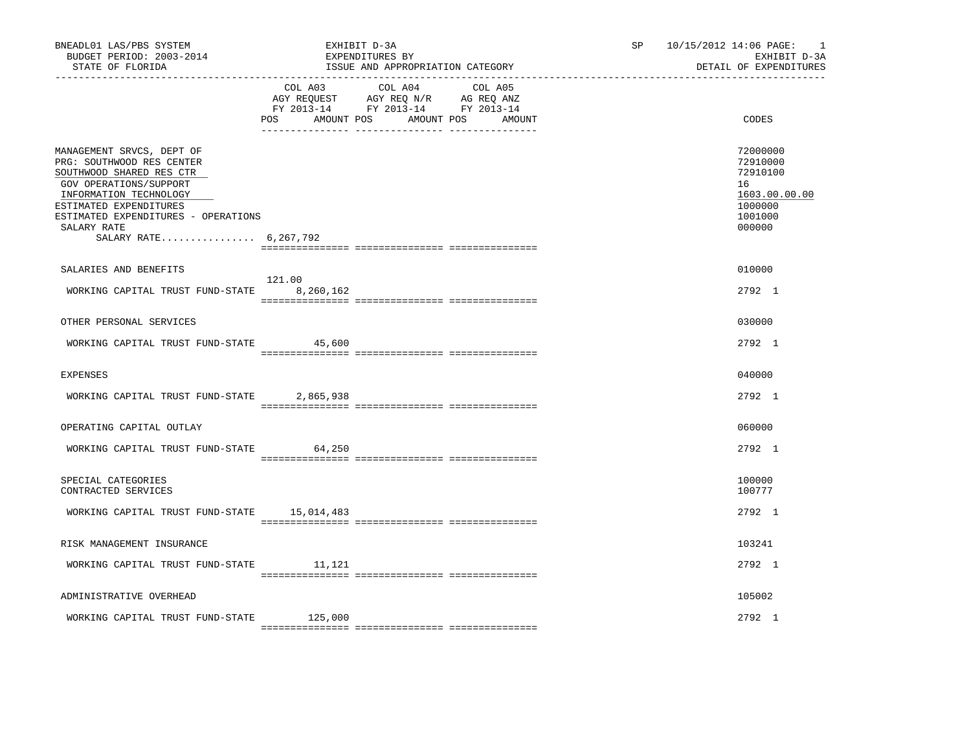| BNEADL01 LAS/PBS SYSTEM<br>BUDGET PERIOD: 2003-2014<br>STATE OF FLORIDA                                                                                                                                                                         |                   | EXHIBIT D-3A<br>EXPENDITURES BY<br>ISSUE AND APPROPRIATION CATEGORY                                                       | SP | 10/15/2012 14:06 PAGE:<br>$\overline{\phantom{0}}$<br>EXHIBIT D-3A<br>DETAIL OF EXPENDITURES |
|-------------------------------------------------------------------------------------------------------------------------------------------------------------------------------------------------------------------------------------------------|-------------------|---------------------------------------------------------------------------------------------------------------------------|----|----------------------------------------------------------------------------------------------|
|                                                                                                                                                                                                                                                 | AMOUNT POS<br>POS | COL A03 COL A04 COL A05<br>AGY REQUEST AGY REQ N/R AG REQ ANZ<br>FY 2013-14 FY 2013-14 FY 2013-14<br>AMOUNT POS<br>AMOUNT |    | CODES                                                                                        |
| MANAGEMENT SRVCS, DEPT OF<br>PRG: SOUTHWOOD RES CENTER<br>SOUTHWOOD SHARED RES CTR<br>GOV OPERATIONS/SUPPORT<br>INFORMATION TECHNOLOGY<br>ESTIMATED EXPENDITURES<br>ESTIMATED EXPENDITURES - OPERATIONS<br>SALARY RATE<br>SALARY RATE 6,267,792 |                   |                                                                                                                           |    | 72000000<br>72910000<br>72910100<br>16<br>1603.00.00.00<br>1000000<br>1001000<br>000000      |
| SALARIES AND BENEFITS                                                                                                                                                                                                                           |                   |                                                                                                                           |    | 010000                                                                                       |
| WORKING CAPITAL TRUST FUND-STATE 8,260,162                                                                                                                                                                                                      | 121.00            |                                                                                                                           |    | 2792 1                                                                                       |
| OTHER PERSONAL SERVICES                                                                                                                                                                                                                         |                   |                                                                                                                           |    | 030000                                                                                       |
| WORKING CAPITAL TRUST FUND-STATE 45,600                                                                                                                                                                                                         |                   |                                                                                                                           |    | 2792 1                                                                                       |
| <b>EXPENSES</b>                                                                                                                                                                                                                                 |                   |                                                                                                                           |    | 040000                                                                                       |
| WORKING CAPITAL TRUST FUND-STATE                                                                                                                                                                                                                | 2,865,938         |                                                                                                                           |    | 2792 1                                                                                       |
| OPERATING CAPITAL OUTLAY                                                                                                                                                                                                                        |                   |                                                                                                                           |    | 060000                                                                                       |
| WORKING CAPITAL TRUST FUND-STATE 64,250                                                                                                                                                                                                         |                   |                                                                                                                           |    | 2792 1                                                                                       |
| SPECIAL CATEGORIES<br>CONTRACTED SERVICES                                                                                                                                                                                                       |                   |                                                                                                                           |    | 100000<br>100777                                                                             |
| WORKING CAPITAL TRUST FUND-STATE 15,014,483                                                                                                                                                                                                     |                   |                                                                                                                           |    | 2792 1                                                                                       |
| RISK MANAGEMENT INSURANCE                                                                                                                                                                                                                       |                   |                                                                                                                           |    | 103241                                                                                       |
| WORKING CAPITAL TRUST FUND-STATE                                                                                                                                                                                                                | 11,121            |                                                                                                                           |    | 2792 1                                                                                       |
| ADMINISTRATIVE OVERHEAD                                                                                                                                                                                                                         |                   |                                                                                                                           |    | 105002                                                                                       |
| WORKING CAPITAL TRUST FUND-STATE                                                                                                                                                                                                                | 125,000           |                                                                                                                           |    | $2792 \quad 1$                                                                               |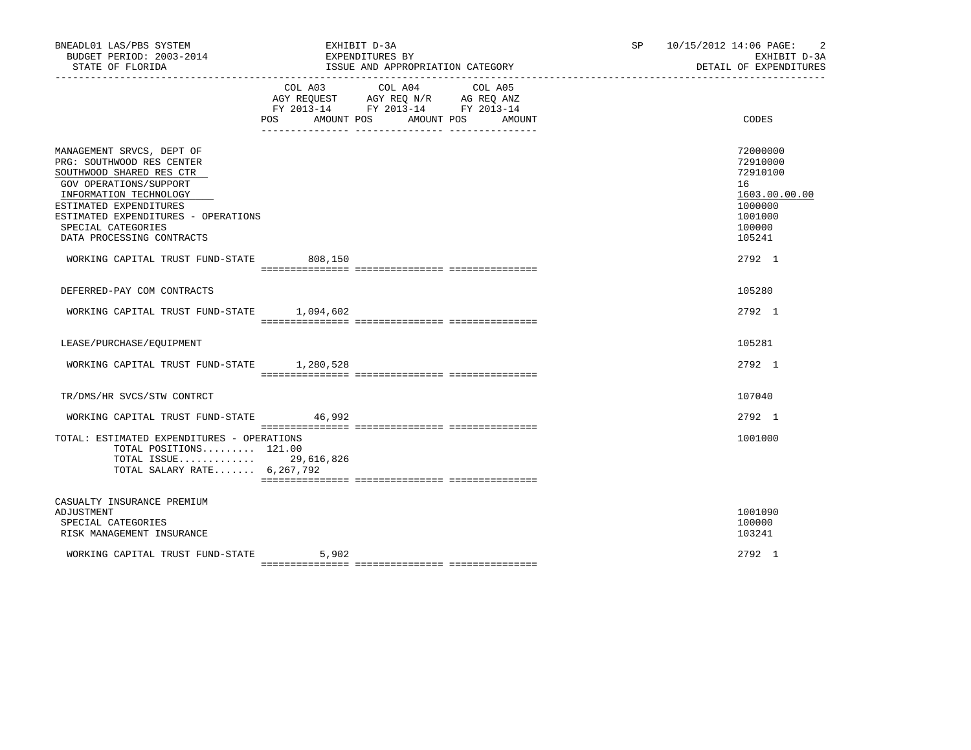| BNEADL01 LAS/PBS SYSTEM<br>BUDGET PERIOD: 2003-2014<br>STATE OF FLORIDA                                                                                                                                                                                                                                |         | EXHIBIT D-3A<br>EXPENDITURES BY<br>ISSUE AND APPROPRIATION CATEGORY                                                                 | SP 10/15/2012 14:06 PAGE:<br>2<br>EXHIBIT D-3A<br>DETAIL OF EXPENDITURES                                    |
|--------------------------------------------------------------------------------------------------------------------------------------------------------------------------------------------------------------------------------------------------------------------------------------------------------|---------|-------------------------------------------------------------------------------------------------------------------------------------|-------------------------------------------------------------------------------------------------------------|
|                                                                                                                                                                                                                                                                                                        | COL A03 | COL A04<br>COL A05<br>AGY REQUEST AGY REQ N/R AG REQ ANZ<br>FY 2013-14 FY 2013-14 FY 2013-14<br>POS AMOUNT POS AMOUNT POS<br>AMOUNT | CODES                                                                                                       |
| MANAGEMENT SRVCS, DEPT OF<br>PRG: SOUTHWOOD RES CENTER<br>SOUTHWOOD SHARED RES CTR<br>GOV OPERATIONS/SUPPORT<br>INFORMATION TECHNOLOGY<br>ESTIMATED EXPENDITURES<br>ESTIMATED EXPENDITURES - OPERATIONS<br>SPECIAL CATEGORIES<br>DATA PROCESSING CONTRACTS<br>WORKING CAPITAL TRUST FUND-STATE 808,150 |         |                                                                                                                                     | 72000000<br>72910000<br>72910100<br>16<br>1603.00.00.00<br>1000000<br>1001000<br>100000<br>105241<br>2792 1 |
| DEFERRED-PAY COM CONTRACTS                                                                                                                                                                                                                                                                             |         |                                                                                                                                     | 105280                                                                                                      |
| WORKING CAPITAL TRUST FUND-STATE 1,094,602                                                                                                                                                                                                                                                             |         |                                                                                                                                     | 2792 1                                                                                                      |
| LEASE/PURCHASE/EQUIPMENT                                                                                                                                                                                                                                                                               |         |                                                                                                                                     | 105281                                                                                                      |
| WORKING CAPITAL TRUST FUND-STATE 1.280.528                                                                                                                                                                                                                                                             |         |                                                                                                                                     | 2792 1                                                                                                      |
| TR/DMS/HR SVCS/STW CONTRCT                                                                                                                                                                                                                                                                             |         |                                                                                                                                     | 107040                                                                                                      |
| WORKING CAPITAL TRUST FUND-STATE                                                                                                                                                                                                                                                                       | 46,992  |                                                                                                                                     | 2792 1                                                                                                      |
| TOTAL: ESTIMATED EXPENDITURES - OPERATIONS<br>TOTAL POSITIONS 121.00<br>TOTAL ISSUE 29,616,826<br>TOTAL SALARY RATE 6,267,792                                                                                                                                                                          |         |                                                                                                                                     | 1001000                                                                                                     |
| CASUALTY INSURANCE PREMIUM<br>ADJUSTMENT<br>SPECIAL CATEGORIES<br>RISK MANAGEMENT INSURANCE                                                                                                                                                                                                            |         |                                                                                                                                     | 1001090<br>100000<br>103241                                                                                 |
| WORKING CAPITAL TRUST FUND-STATE                                                                                                                                                                                                                                                                       | 5,902   |                                                                                                                                     | 2792 1                                                                                                      |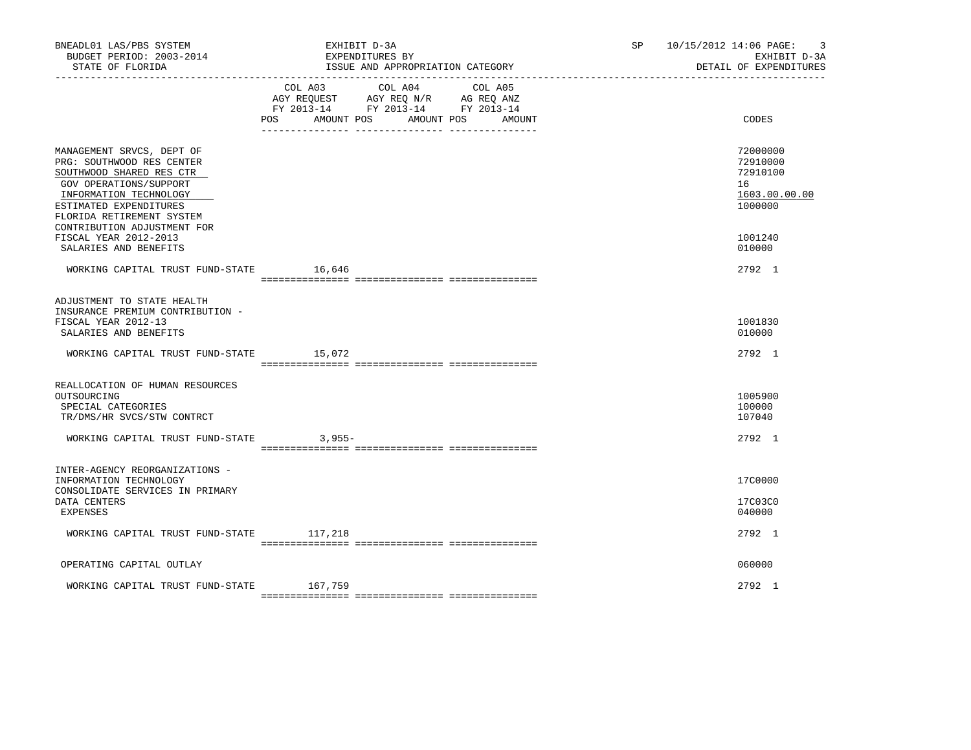| BNEADL01 LAS/PBS SYSTEM<br>BUDGET PERIOD: 2003-2014<br>STATE OF FLORIDA                                                                                                                       | EXHIBIT D-3A<br>EXPENDITURES BY<br>ISSUE AND APPROPRIATION CATEGORY                                                                                  | 10/15/2012 14:06 PAGE:<br>SP and the set of the set of the set of the set of the set of the set of the set of the set of the set of the set of the set of the set of the set of the set of the set of the set of the set of the set of the set of the se<br>-3<br>EXHIBIT D-3A<br>DETAIL OF EXPENDITURES |
|-----------------------------------------------------------------------------------------------------------------------------------------------------------------------------------------------|------------------------------------------------------------------------------------------------------------------------------------------------------|----------------------------------------------------------------------------------------------------------------------------------------------------------------------------------------------------------------------------------------------------------------------------------------------------------|
|                                                                                                                                                                                               | COL A03<br>COL A04<br>COL A05<br>AGY REQUEST AGY REQ N/R AG REQ ANZ<br>FY 2013-14 FY 2013-14 FY 2013-14<br>POS<br>AMOUNT POS<br>AMOUNT POS<br>AMOUNT | CODES                                                                                                                                                                                                                                                                                                    |
| MANAGEMENT SRVCS, DEPT OF<br>PRG: SOUTHWOOD RES CENTER<br>SOUTHWOOD SHARED RES CTR<br>GOV OPERATIONS/SUPPORT<br>INFORMATION TECHNOLOGY<br>ESTIMATED EXPENDITURES<br>FLORIDA RETIREMENT SYSTEM |                                                                                                                                                      | 72000000<br>72910000<br>72910100<br>16<br>1603.00.00.00<br>1000000                                                                                                                                                                                                                                       |
| CONTRIBUTION ADJUSTMENT FOR<br>FISCAL YEAR 2012-2013<br>SALARIES AND BENEFITS                                                                                                                 |                                                                                                                                                      | 1001240<br>010000                                                                                                                                                                                                                                                                                        |
| WORKING CAPITAL TRUST FUND-STATE 16,646                                                                                                                                                       |                                                                                                                                                      | 2792 1                                                                                                                                                                                                                                                                                                   |
| ADJUSTMENT TO STATE HEALTH<br>INSURANCE PREMIUM CONTRIBUTION -<br>FISCAL YEAR 2012-13<br>SALARIES AND BENEFITS<br>WORKING CAPITAL TRUST FUND-STATE 15,072                                     |                                                                                                                                                      | 1001830<br>010000<br>2792 1                                                                                                                                                                                                                                                                              |
| REALLOCATION OF HUMAN RESOURCES<br>OUTSOURCING<br>SPECIAL CATEGORIES<br>TR/DMS/HR SVCS/STW CONTRCT                                                                                            |                                                                                                                                                      | 1005900<br>100000<br>107040                                                                                                                                                                                                                                                                              |
| WORKING CAPITAL TRUST FUND-STATE                                                                                                                                                              | $3.955-$                                                                                                                                             | 2792 1                                                                                                                                                                                                                                                                                                   |
| INTER-AGENCY REORGANIZATIONS -<br>INFORMATION TECHNOLOGY<br>CONSOLIDATE SERVICES IN PRIMARY<br>DATA CENTERS<br>EXPENSES                                                                       |                                                                                                                                                      | 17C0000<br>17C03C0<br>040000                                                                                                                                                                                                                                                                             |
| WORKING CAPITAL TRUST FUND-STATE 117,218                                                                                                                                                      |                                                                                                                                                      | 2792 1                                                                                                                                                                                                                                                                                                   |
| OPERATING CAPITAL OUTLAY                                                                                                                                                                      |                                                                                                                                                      | 060000                                                                                                                                                                                                                                                                                                   |
| WORKING CAPITAL TRUST FUND-STATE                                                                                                                                                              | 167,759                                                                                                                                              | 2792 1                                                                                                                                                                                                                                                                                                   |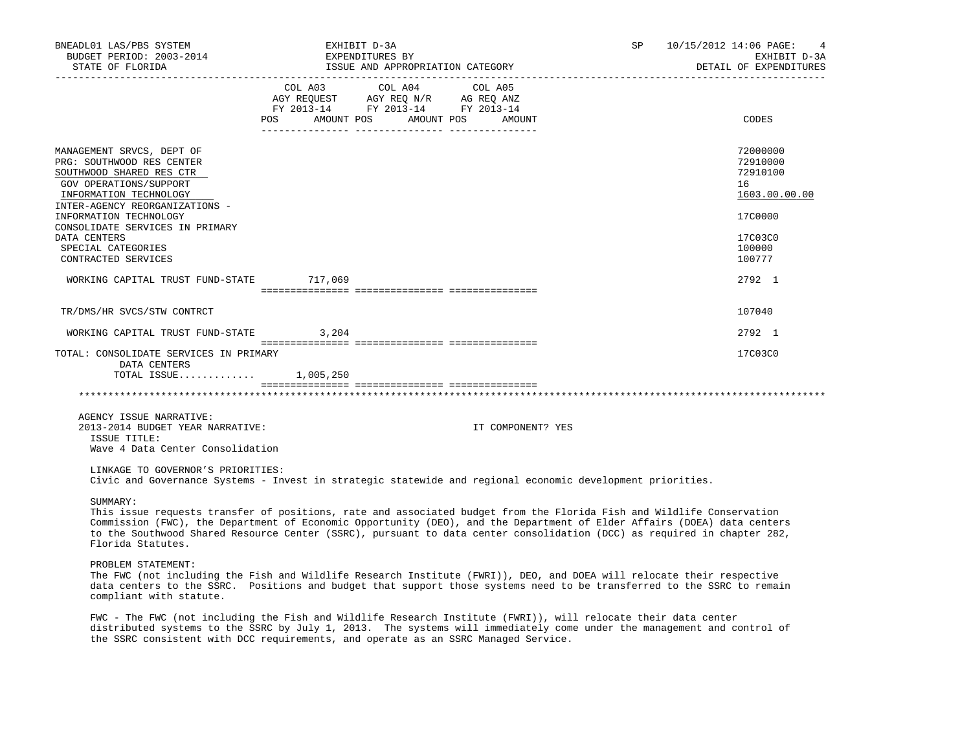| BNEADL01 LAS/PBS SYSTEM<br>BUDGET PERIOD: 2003-2014                                                                                                                                                                                                          | EXHIBIT D-3A<br>EXPENDITURES BY                                                                                 |                              |  | SP 10/15/2012 14:06 PAGE: 4<br>EXHIBIT D-3A             |
|--------------------------------------------------------------------------------------------------------------------------------------------------------------------------------------------------------------------------------------------------------------|-----------------------------------------------------------------------------------------------------------------|------------------------------|--|---------------------------------------------------------|
|                                                                                                                                                                                                                                                              |                                                                                                                 |                              |  | DETAIL OF EXPENDITURES                                  |
|                                                                                                                                                                                                                                                              | COL A03 COL A04 COL A05<br>AGY REQUEST AGY REQ N/R AG REQ ANZ<br>FY 2013-14 FY 2013-14 FY 2013-14<br><b>POS</b> | AMOUNT POS AMOUNT POS AMOUNT |  | CODES                                                   |
| MANAGEMENT SRVCS, DEPT OF<br>PRG: SOUTHWOOD RES CENTER<br>SOUTHWOOD SHARED RES CTR<br>GOV OPERATIONS/SUPPORT<br>INFORMATION TECHNOLOGY                                                                                                                       |                                                                                                                 |                              |  | 72000000<br>72910000<br>72910100<br>16<br>1603.00.00.00 |
| INTER-AGENCY REORGANIZATIONS -<br>INFORMATION TECHNOLOGY<br>CONSOLIDATE SERVICES IN PRIMARY<br>DATA CENTERS<br>SPECIAL CATEGORIES<br>CONTRACTED SERVICES                                                                                                     |                                                                                                                 |                              |  | 17C0000<br>17C03C0<br>100000<br>100777                  |
| WORKING CAPITAL TRUST FUND-STATE 717,069                                                                                                                                                                                                                     |                                                                                                                 |                              |  | 2792 1                                                  |
| TR/DMS/HR SVCS/STW CONTRCT                                                                                                                                                                                                                                   |                                                                                                                 |                              |  | 107040                                                  |
| WORKING CAPITAL TRUST FUND-STATE 3,204                                                                                                                                                                                                                       |                                                                                                                 |                              |  | 2792 1                                                  |
| TOTAL: CONSOLIDATE SERVICES IN PRIMARY<br>DATA CENTERS<br>TOTAL ISSUE 1,005,250                                                                                                                                                                              |                                                                                                                 |                              |  | 17C03C0                                                 |
|                                                                                                                                                                                                                                                              |                                                                                                                 |                              |  |                                                         |
| AGENCY ISSUE NARRATIVE:<br>2013-2014 BUDGET YEAR NARRATIVE:<br>ISSUE TITLE:<br>Wave 4 Data Center Consolidation                                                                                                                                              |                                                                                                                 | IT COMPONENT? YES            |  |                                                         |
| LINKAGE TO GOVERNOR'S PRIORITIES:<br>Civic and Governance Systems - Invest in strategic statewide and regional economic development priorities.                                                                                                              |                                                                                                                 |                              |  |                                                         |
| SUMMARY:<br>This issue requests transfer of positions, rate and associated budget from the Florida Fish and Wildlife Conservation<br>Commission (FWC), the Department of Economic Opportunity (DEO), and the Department of Elder Affairs (DOEA) data centers |                                                                                                                 |                              |  |                                                         |

 Commission (FWC), the Department of Economic Opportunity (DEO), and the Department of Elder Affairs (DOEA) data centers to the Southwood Shared Resource Center (SSRC), pursuant to data center consolidation (DCC) as required in chapter 282, Florida Statutes.

PROBLEM STATEMENT:

 The FWC (not including the Fish and Wildlife Research Institute (FWRI)), DEO, and DOEA will relocate their respective data centers to the SSRC. Positions and budget that support those systems need to be transferred to the SSRC to remain compliant with statute.

 FWC - The FWC (not including the Fish and Wildlife Research Institute (FWRI)), will relocate their data center distributed systems to the SSRC by July 1, 2013. The systems will immediately come under the management and control of the SSRC consistent with DCC requirements, and operate as an SSRC Managed Service.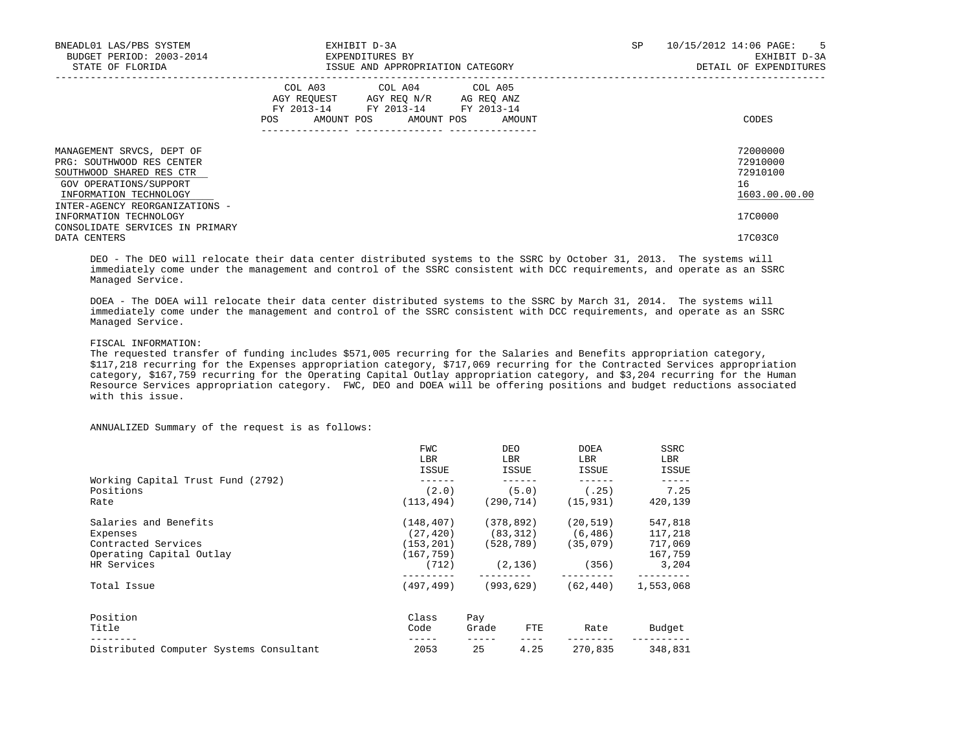| BNEADL01 LAS/PBS SYSTEM<br>BUDGET PERIOD: 2003-2014<br>STATE OF FLORIDA                                                                | EXHIBIT D-3A<br>EXPENDITURES BY | ISSUE AND APPROPRIATION CATEGORY                                                                                                      | SP | 10/15/2012 14:06 PAGE: 5<br>EXHIBIT D-3A<br>DETAIL OF EXPENDITURES |
|----------------------------------------------------------------------------------------------------------------------------------------|---------------------------------|---------------------------------------------------------------------------------------------------------------------------------------|----|--------------------------------------------------------------------|
|                                                                                                                                        |                                 | COL A03 COL A04 COL A05<br>AGY REOUEST AGY REO N/R AG REO ANZ<br>FY 2013-14 FY 2013-14 FY 2013-14<br>POS AMOUNT POS AMOUNT POS AMOUNT |    | CODES                                                              |
| MANAGEMENT SRVCS, DEPT OF<br>PRG: SOUTHWOOD RES CENTER<br>SOUTHWOOD SHARED RES CTR<br>GOV OPERATIONS/SUPPORT<br>INFORMATION TECHNOLOGY |                                 |                                                                                                                                       |    | 72000000<br>72910000<br>72910100<br>16<br>1603.00.00.00            |
| INTER-AGENCY REORGANIZATIONS -<br>INFORMATION TECHNOLOGY<br>CONSOLIDATE SERVICES IN PRIMARY<br>DATA CENTERS                            |                                 |                                                                                                                                       |    | 17C0000<br>17C03C0                                                 |

 DEO - The DEO will relocate their data center distributed systems to the SSRC by October 31, 2013. The systems will immediately come under the management and control of the SSRC consistent with DCC requirements, and operate as an SSRC Managed Service.

 DOEA - The DOEA will relocate their data center distributed systems to the SSRC by March 31, 2014. The systems will immediately come under the management and control of the SSRC consistent with DCC requirements, and operate as an SSRC Managed Service.

# FISCAL INFORMATION:

 The requested transfer of funding includes \$571,005 recurring for the Salaries and Benefits appropriation category, \$117,218 recurring for the Expenses appropriation category, \$717,069 recurring for the Contracted Services appropriation category, \$167,759 recurring for the Operating Capital Outlay appropriation category, and \$3,204 recurring for the Human Resource Services appropriation category. FWC, DEO and DOEA will be offering positions and budget reductions associated with this issue.

ANNUALIZED Summary of the request is as follows:

|                                         | <b>FWC</b><br>LBR<br>ISSUE |       | <b>DEO</b><br>LBR<br>ISSUE | <b>DOEA</b><br>LBR<br>ISSUE | SSRC<br>LBR<br>ISSUE |
|-----------------------------------------|----------------------------|-------|----------------------------|-----------------------------|----------------------|
| Working Capital Trust Fund (2792)       |                            |       |                            |                             |                      |
| Positions                               | (2.0)                      |       | (5.0)                      | (.25)                       | 7.25                 |
| Rate                                    | (113, 494)                 |       | (290, 714)                 | (15, 931)                   | 420,139              |
| Salaries and Benefits                   | (148, 407)                 |       | (378, 892)                 | (20.519)                    | 547,818              |
| Expenses                                | (27, 420)                  |       | (83, 312)                  | (6, 486)                    | 117,218              |
| Contracted Services                     | (153, 201)                 |       | (528, 789)                 | (35,079)                    | 717,069              |
| Operating Capital Outlay                | (167, 759)                 |       |                            |                             | 167,759              |
| HR Services                             | (712)                      |       | (2, 136)                   | (356)                       | 3,204                |
| Total Issue                             | (497,499)                  |       | (993, 629)                 | (62, 440)                   | 1,553,068            |
| Position                                | Class                      | Pay   |                            |                             |                      |
| Title                                   | Code                       | Grade | FTE                        | Rate                        | Budget               |
| Distributed Computer Systems Consultant | 2053                       | 25    | 4.25                       | 270,835                     | 348,831              |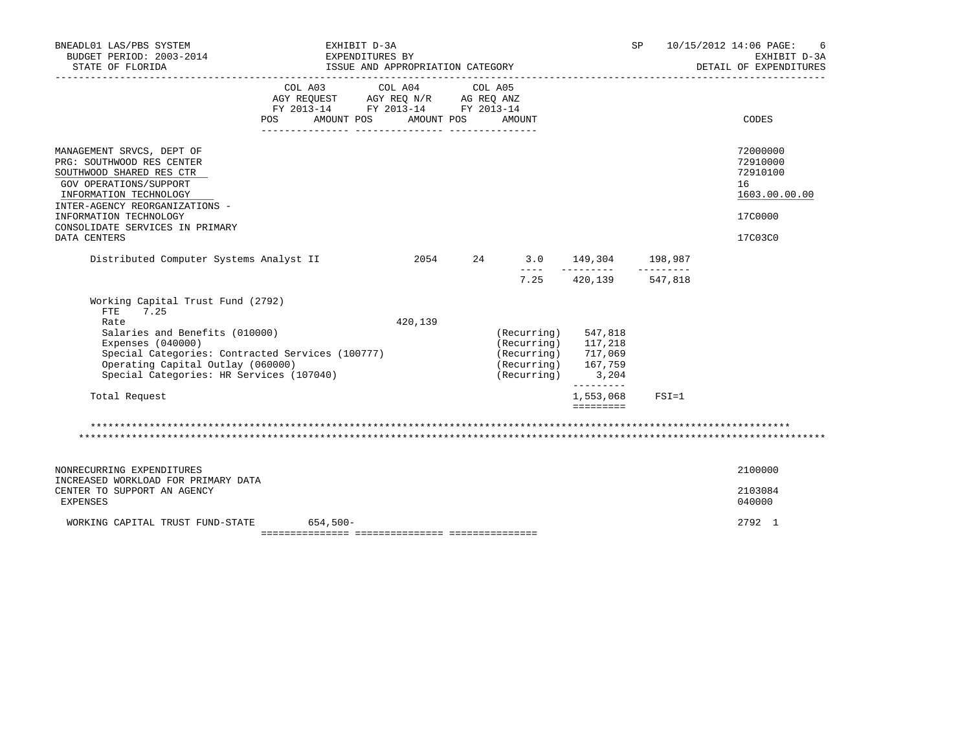| BNEADL01 LAS/PBS SYSTEM<br>BUDGET PERIOD: 2003-2014<br>STATE OF FLORIDA                                                                                                                                                                                | EXHIBIT D-3A<br>EXPENDITURES BY<br>ISSUE AND APPROPRIATION CATEGORY                                                                                                                                                                         |            |                                                                                                                 |                                                      | SP        | 10/15/2012 14:06 PAGE:<br>6<br>EXHIBIT D-3A<br>DETAIL OF EXPENDITURES |
|--------------------------------------------------------------------------------------------------------------------------------------------------------------------------------------------------------------------------------------------------------|---------------------------------------------------------------------------------------------------------------------------------------------------------------------------------------------------------------------------------------------|------------|-----------------------------------------------------------------------------------------------------------------|------------------------------------------------------|-----------|-----------------------------------------------------------------------|
|                                                                                                                                                                                                                                                        | COL A03 COL A04 COL A05<br>$\begin{tabular}{lllllll} \bf AGY \,\, REQUEST \,\, &\bf AGY \,\, REQ \,\, N/R &\bf AG \,\, REQ \,\, ANZ \\ \bf FY \,\, 2013-14 &\bf FY \,\, 2013-14 &\bf FY \,\, 2013-14 \\ \end{tabular}$<br>AMOUNT POS<br>POS | AMOUNT POS | AMOUNT                                                                                                          |                                                      |           | CODES                                                                 |
|                                                                                                                                                                                                                                                        |                                                                                                                                                                                                                                             |            |                                                                                                                 |                                                      |           |                                                                       |
| MANAGEMENT SRVCS, DEPT OF<br>PRG: SOUTHWOOD RES CENTER<br>SOUTHWOOD SHARED RES CTR<br>GOV OPERATIONS/SUPPORT<br>INFORMATION TECHNOLOGY<br>INTER-AGENCY REORGANIZATIONS -<br>INFORMATION TECHNOLOGY<br>CONSOLIDATE SERVICES IN PRIMARY                  |                                                                                                                                                                                                                                             |            |                                                                                                                 |                                                      |           | 72000000<br>72910000<br>72910100<br>16<br>1603.00.00.00<br>17C0000    |
| DATA CENTERS                                                                                                                                                                                                                                           |                                                                                                                                                                                                                                             |            |                                                                                                                 |                                                      |           | 17C03C0                                                               |
| Distributed Computer Systems Analyst II                                                                                                                                                                                                                |                                                                                                                                                                                                                                             |            | 2054 24 3.0 149,304 198,987                                                                                     | _________________                                    | --------- |                                                                       |
| Working Capital Trust Fund (2792)<br>FTE<br>7.25<br>Rate<br>Salaries and Benefits (010000)<br>Expenses $(040000)$<br>Special Categories: Contracted Services (100777)<br>Operating Capital Outlay (060000)<br>Special Categories: HR Services (107040) |                                                                                                                                                                                                                                             | 420,139    | $(Recurring)$ 547,818<br>$(Recurring)$ 117,218<br>$(Recurring)$ 717,069<br>$(Recurring)$ 167,759<br>(Recurring) | 7.25 420,139 547,818<br>3,204<br>$- - - - - - - - -$ |           |                                                                       |
| Total Request                                                                                                                                                                                                                                          |                                                                                                                                                                                                                                             |            |                                                                                                                 | 1,553,068                                            | $FSI = 1$ |                                                                       |
|                                                                                                                                                                                                                                                        |                                                                                                                                                                                                                                             |            |                                                                                                                 |                                                      |           |                                                                       |
| NONRECURRING EXPENDITURES                                                                                                                                                                                                                              |                                                                                                                                                                                                                                             |            |                                                                                                                 |                                                      |           | 2100000                                                               |
| INCREASED WORKLOAD FOR PRIMARY DATA<br>CENTER TO SUPPORT AN AGENCY<br>EXPENSES                                                                                                                                                                         |                                                                                                                                                                                                                                             |            |                                                                                                                 |                                                      |           | 2103084<br>040000                                                     |
| WORKING CAPITAL TRUST FUND-STATE                                                                                                                                                                                                                       | $654,500-$                                                                                                                                                                                                                                  |            |                                                                                                                 |                                                      |           | 2792 1                                                                |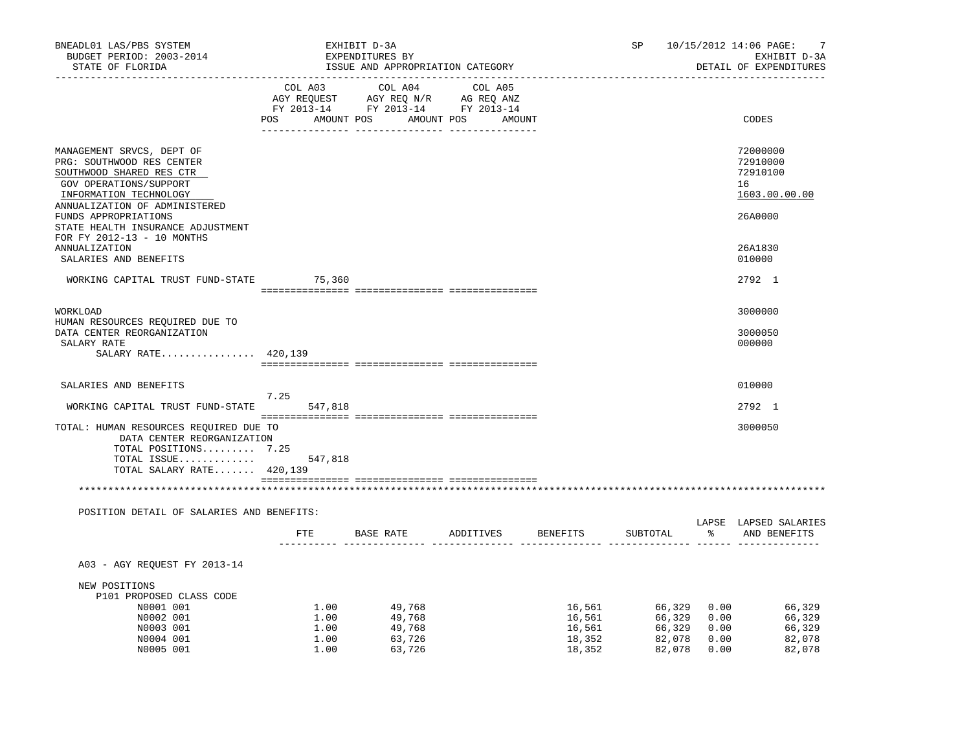| BNEADL01 LAS/PBS SYSTEM<br>BUDGET PERIOD: 2003-2014<br>STATE OF FLORIDA                                                                                                                                                              |                                      | EXHIBIT D-3A<br>EXPENDITURES BY<br>ISSUE AND APPROPRIATION CATEGORY                                                                                                                        |                                                | SP                                                  |                              | 10/15/2012 14:06 PAGE:<br>7<br>EXHIBIT D-3A<br>DETAIL OF EXPENDITURES |
|--------------------------------------------------------------------------------------------------------------------------------------------------------------------------------------------------------------------------------------|--------------------------------------|--------------------------------------------------------------------------------------------------------------------------------------------------------------------------------------------|------------------------------------------------|-----------------------------------------------------|------------------------------|-----------------------------------------------------------------------|
|                                                                                                                                                                                                                                      | POS                                  | $\begin{tabular}{lcccc} COL A03 & COL A04 & COL A05 \\ AGY REQUEST & AGY REQ N/R & AG REQ ANZ \\ FY & 2013-14 & FY & 2013-14 & FY & 2013-14 \end{tabular}$<br>AMOUNT POS AMOUNT POS AMOUNT |                                                |                                                     |                              | CODES                                                                 |
| MANAGEMENT SRVCS, DEPT OF<br>PRG: SOUTHWOOD RES CENTER<br>SOUTHWOOD SHARED RES CTR<br>GOV OPERATIONS/SUPPORT<br>INFORMATION TECHNOLOGY<br>ANNUALIZATION OF ADMINISTERED<br>FUNDS APPROPRIATIONS<br>STATE HEALTH INSURANCE ADJUSTMENT |                                      |                                                                                                                                                                                            |                                                |                                                     |                              | 72000000<br>72910000<br>72910100<br>16<br>1603.00.00.00<br>26A0000    |
| FOR FY 2012-13 - 10 MONTHS<br>ANNUALIZATION<br>SALARIES AND BENEFITS                                                                                                                                                                 |                                      |                                                                                                                                                                                            |                                                |                                                     |                              | 26A1830<br>010000                                                     |
| WORKING CAPITAL TRUST FUND-STATE 75,360                                                                                                                                                                                              |                                      |                                                                                                                                                                                            |                                                |                                                     |                              | 2792 1                                                                |
| WORKLOAD                                                                                                                                                                                                                             |                                      |                                                                                                                                                                                            |                                                |                                                     |                              | 3000000                                                               |
| HUMAN RESOURCES REQUIRED DUE TO<br>DATA CENTER REORGANIZATION<br>SALARY RATE<br>SALARY RATE 420,139                                                                                                                                  |                                      |                                                                                                                                                                                            |                                                |                                                     |                              | 3000050<br>000000                                                     |
| SALARIES AND BENEFITS<br>WORKING CAPITAL TRUST FUND-STATE                                                                                                                                                                            | 7.25<br>547,818                      |                                                                                                                                                                                            |                                                |                                                     |                              | 010000<br>2792 1                                                      |
| TOTAL: HUMAN RESOURCES REQUIRED DUE TO<br>DATA CENTER REORGANIZATION<br>TOTAL POSITIONS 7.25<br>TOTAL ISSUE<br>TOTAL SALARY RATE 420,139                                                                                             | 547,818                              |                                                                                                                                                                                            |                                                |                                                     |                              | 3000050                                                               |
|                                                                                                                                                                                                                                      |                                      |                                                                                                                                                                                            |                                                |                                                     |                              |                                                                       |
| POSITION DETAIL OF SALARIES AND BENEFITS:                                                                                                                                                                                            |                                      | FTE BASE RATE ADDITIVES                                                                                                                                                                    | BENEFITS                                       | SUBTOTAL                                            |                              | LAPSE LAPSED SALARIES<br>% AND BENEFITS                               |
|                                                                                                                                                                                                                                      |                                      |                                                                                                                                                                                            |                                                |                                                     |                              |                                                                       |
| A03 - AGY REQUEST FY 2013-14                                                                                                                                                                                                         |                                      |                                                                                                                                                                                            |                                                |                                                     |                              |                                                                       |
| NEW POSITIONS<br>P101 PROPOSED CLASS CODE<br>N0001 001<br>N0002 001<br>N0003 001<br>N0004 001<br>N0005 001                                                                                                                           | 1.00<br>1.00<br>1.00<br>1.00<br>1.00 | 49,768<br>49,768<br>49,768<br>63,726<br>63,726                                                                                                                                             | 16,561<br>16,561<br>16,561<br>18,352<br>18,352 | 66,329 0.00<br>66,329<br>66,329<br>82,078<br>82,078 | 0.00<br>0.00<br>0.00<br>0.00 | 66,329<br>66,329<br>66,329<br>82,078<br>82,078                        |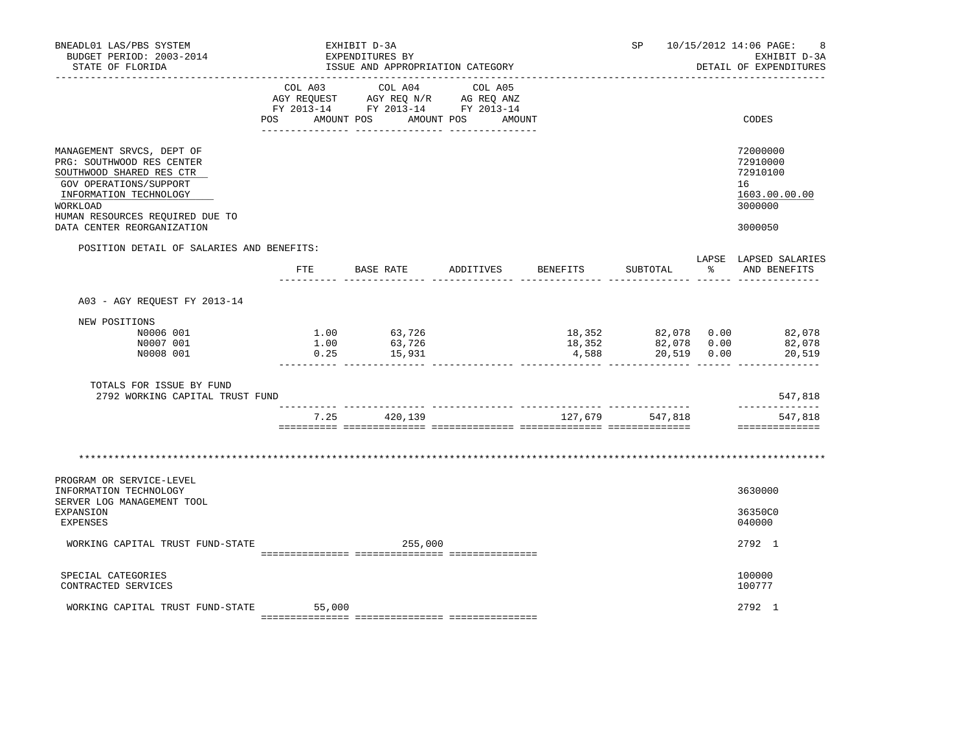| BNEADL01 LAS/PBS SYSTEM<br>BUDGET PERIOD: 2003-2014<br>STATE OF FLORIDA                                                                                                                                             |     | EXHIBIT D-3A<br>EXPENDITURES BY<br>ISSUE AND APPROPRIATION CATEGORY                                                            |        |          |                                                     | SP 10/15/2012 14:06 PAGE:<br>8<br>EXHIBIT D-3A<br>DETAIL OF EXPENDITURES      |
|---------------------------------------------------------------------------------------------------------------------------------------------------------------------------------------------------------------------|-----|--------------------------------------------------------------------------------------------------------------------------------|--------|----------|-----------------------------------------------------|-------------------------------------------------------------------------------|
|                                                                                                                                                                                                                     |     | COL A03 COL A04 COL A05<br>AGY REQUEST AGY REQ N/R AG REQ ANZ<br>FY 2013-14 FY 2013-14 FY 2013-14<br>POS AMOUNT POS AMOUNT POS | AMOUNT |          |                                                     | CODES                                                                         |
| MANAGEMENT SRVCS, DEPT OF<br>PRG: SOUTHWOOD RES CENTER<br>SOUTHWOOD SHARED RES CTR<br>GOV OPERATIONS/SUPPORT<br>INFORMATION TECHNOLOGY<br>WORKLOAD<br>HUMAN RESOURCES REQUIRED DUE TO<br>DATA CENTER REORGANIZATION |     |                                                                                                                                |        |          |                                                     | 72000000<br>72910000<br>72910100<br>16<br>1603.00.00.00<br>3000000<br>3000050 |
| POSITION DETAIL OF SALARIES AND BENEFITS:                                                                                                                                                                           | ETE | BASE RATE ADDITIVES                                                                                                            |        | BENEFITS | SUBTOTAL                                            | LAPSE LAPSED SALARIES<br>% AND BENEFITS                                       |
| A03 - AGY REQUEST FY 2013-14                                                                                                                                                                                        |     |                                                                                                                                |        |          |                                                     |                                                                               |
| NEW POSITIONS<br>N0006 001<br>N0007 001<br>N0008 001                                                                                                                                                                |     | $1.00$ $63,726$<br>$1.00$ $63,726$<br>$1.00$ $63,726$<br>0.25 $15,931$                                                         |        |          | $18,352$ $82,078$ $0.00$<br>$4,588$ $20,519$ $0.00$ | 18,352 82,078 0.00 82,078<br>82,078<br>20,519                                 |
| TOTALS FOR ISSUE BY FUND<br>2792 WORKING CAPITAL TRUST FUND                                                                                                                                                         |     |                                                                                                                                |        |          |                                                     | 547,818                                                                       |
|                                                                                                                                                                                                                     |     | 7.25 420,139                                                                                                                   |        |          | 127,679 547,818                                     | ______________<br>547,818<br>==============                                   |
|                                                                                                                                                                                                                     |     |                                                                                                                                |        |          |                                                     |                                                                               |
| PROGRAM OR SERVICE-LEVEL<br>INFORMATION TECHNOLOGY<br>SERVER LOG MANAGEMENT TOOL<br>EXPANSION<br>EXPENSES                                                                                                           |     |                                                                                                                                |        |          |                                                     | 3630000<br>36350C0<br>040000                                                  |
| WORKING CAPITAL TRUST FUND-STATE                                                                                                                                                                                    |     | 255,000                                                                                                                        |        |          |                                                     | 2792 1                                                                        |
| SPECIAL CATEGORIES<br>CONTRACTED SERVICES                                                                                                                                                                           |     |                                                                                                                                |        |          |                                                     | 100000<br>100777                                                              |
| WORKING CAPITAL TRUST FUND-STATE 55,000                                                                                                                                                                             |     |                                                                                                                                |        |          |                                                     | 2792 1                                                                        |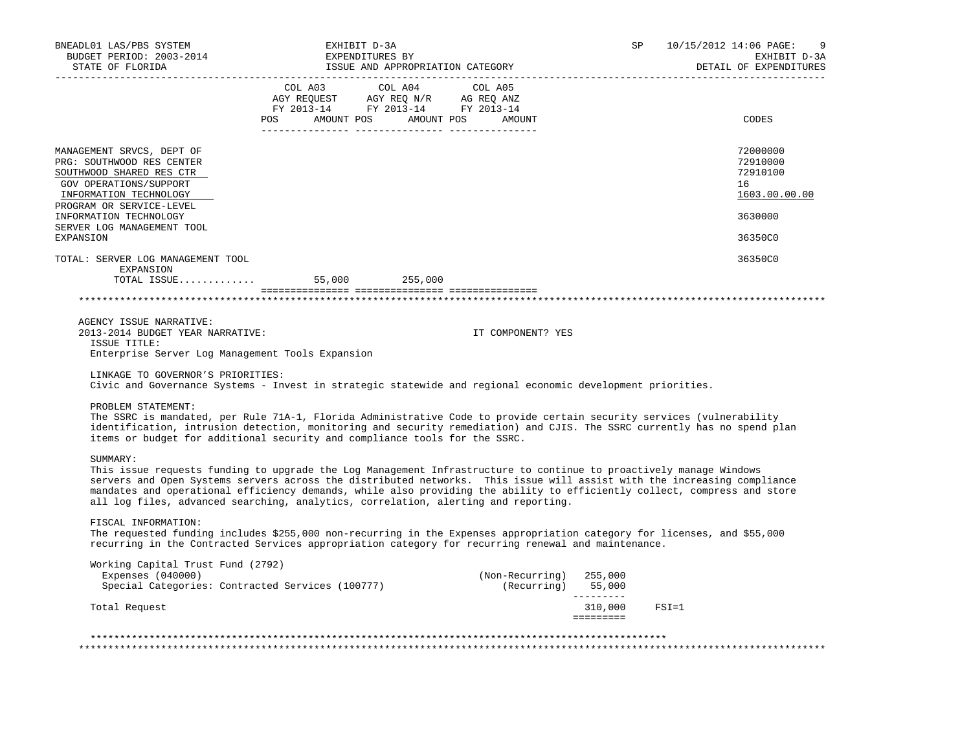| BNEADL01 LAS/PBS SYSTEM<br>BUDGET PERIOD: 2003-2014<br>STATE OF FLORIDA                                                                                                                                                    | EXHIBIT D-3A<br>EXPENDITURES BY<br>ISSUE AND APPROPRIATION CATEGORY                                                                                                                                                                                                                                                                                                                                                                                                           |                                                 | SP                                       | 10/15/2012 14:06 PAGE:<br>-9<br>EXHIBIT D-3A<br>DETAIL OF EXPENDITURES |
|----------------------------------------------------------------------------------------------------------------------------------------------------------------------------------------------------------------------------|-------------------------------------------------------------------------------------------------------------------------------------------------------------------------------------------------------------------------------------------------------------------------------------------------------------------------------------------------------------------------------------------------------------------------------------------------------------------------------|-------------------------------------------------|------------------------------------------|------------------------------------------------------------------------|
|                                                                                                                                                                                                                            | $\begin{tabular}{lllllllllll} &\multicolumn{4}{c }{\text{COL A03}} &\multicolumn{4}{c }{\text{COL A04}} &\multicolumn{4}{c }{\text{COL A05}}\\ &\multicolumn{4}{c }{\text{AGY REQUEST}} &\multicolumn{4}{c }{\text{AGY REQ N/R}} &\multicolumn{4}{c }{\text{AG REQ ANZ}}\\ &\multicolumn{4}{c }{\text{AGY REQ N/R}} &\multicolumn{4}{c }{\text{AG REQ ANZ}}\\ &\multicolumn{4}{c }{\text{FY 2013--14}} &\multicolumn{4}{c }{\text{FY 201$<br>POS AMOUNT POS AMOUNT POS AMOUNT |                                                 |                                          | CODES                                                                  |
| MANAGEMENT SRVCS, DEPT OF<br>PRG: SOUTHWOOD RES CENTER<br>SOUTHWOOD SHARED RES CTR<br>GOV OPERATIONS/SUPPORT<br>INFORMATION TECHNOLOGY<br>PROGRAM OR SERVICE-LEVEL<br>INFORMATION TECHNOLOGY<br>SERVER LOG MANAGEMENT TOOL |                                                                                                                                                                                                                                                                                                                                                                                                                                                                               |                                                 |                                          | 72000000<br>72910000<br>72910100<br>16<br>1603.00.00.00<br>3630000     |
| EXPANSION                                                                                                                                                                                                                  |                                                                                                                                                                                                                                                                                                                                                                                                                                                                               |                                                 |                                          | 36350C0                                                                |
| TOTAL: SERVER LOG MANAGEMENT TOOL<br>EXPANSION                                                                                                                                                                             |                                                                                                                                                                                                                                                                                                                                                                                                                                                                               |                                                 |                                          | 36350C0                                                                |
|                                                                                                                                                                                                                            |                                                                                                                                                                                                                                                                                                                                                                                                                                                                               |                                                 |                                          |                                                                        |
|                                                                                                                                                                                                                            |                                                                                                                                                                                                                                                                                                                                                                                                                                                                               |                                                 |                                          |                                                                        |
| AGENCY ISSUE NARRATIVE:<br>2013-2014 BUDGET YEAR NARRATIVE:<br>ISSUE TITLE:                                                                                                                                                |                                                                                                                                                                                                                                                                                                                                                                                                                                                                               | IT COMPONENT? YES                               |                                          |                                                                        |
| Enterprise Server Log Management Tools Expansion                                                                                                                                                                           |                                                                                                                                                                                                                                                                                                                                                                                                                                                                               |                                                 |                                          |                                                                        |
| LINKAGE TO GOVERNOR'S PRIORITIES:                                                                                                                                                                                          | Civic and Governance Systems - Invest in strategic statewide and regional economic development priorities.                                                                                                                                                                                                                                                                                                                                                                    |                                                 |                                          |                                                                        |
| PROBLEM STATEMENT:                                                                                                                                                                                                         | The SSRC is mandated, per Rule 71A-1, Florida Administrative Code to provide certain security services (vulnerability<br>identification, intrusion detection, monitoring and security remediation) and CJIS. The SSRC currently has no spend plan<br>items or budget for additional security and compliance tools for the SSRC.                                                                                                                                               |                                                 |                                          |                                                                        |
| SUMMARY:                                                                                                                                                                                                                   | This issue requests funding to upgrade the Log Management Infrastructure to continue to proactively manage Windows<br>servers and Open Systems servers across the distributed networks. This issue will assist with the increasing compliance<br>mandates and operational efficiency demands, while also providing the ability to efficiently collect, compress and store<br>all log files, advanced searching, analytics, correlation, alerting and reporting.               |                                                 |                                          |                                                                        |
| FISCAL INFORMATION:                                                                                                                                                                                                        | The requested funding includes \$255,000 non-recurring in the Expenses appropriation category for licenses, and \$55,000<br>recurring in the Contracted Services appropriation category for recurring renewal and maintenance.                                                                                                                                                                                                                                                |                                                 |                                          |                                                                        |
| Working Capital Trust Fund (2792)<br>Expenses $(040000)$                                                                                                                                                                   | Special Categories: Contracted Services (100777)                                                                                                                                                                                                                                                                                                                                                                                                                              | (Non-Recurring) 255,000<br>$(Recurring)$ 55,000 |                                          |                                                                        |
| Total Request                                                                                                                                                                                                              |                                                                                                                                                                                                                                                                                                                                                                                                                                                                               |                                                 | __________<br>310,000<br><b>EBEREERS</b> | $FSI = 1$                                                              |
|                                                                                                                                                                                                                            |                                                                                                                                                                                                                                                                                                                                                                                                                                                                               |                                                 |                                          |                                                                        |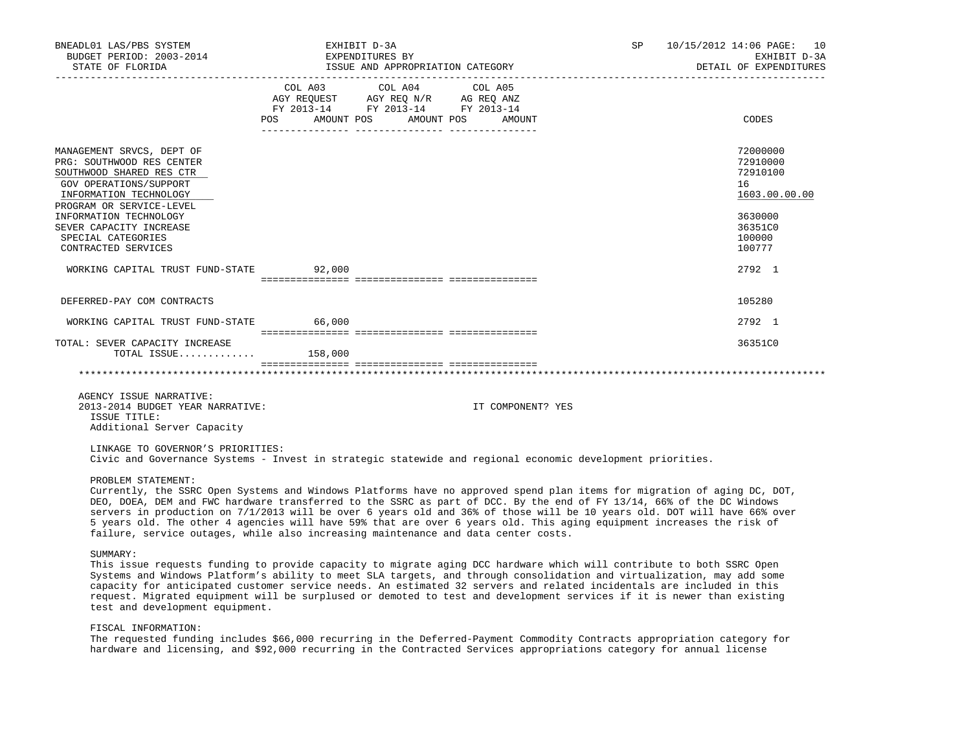| BNEADL01 LAS/PBS SYSTEM<br>BUDGET PERIOD: 2003-2014                                                                                                                                                                                                                                                                                                                                                                                                                                                                                                                                                                |                                             | EXHIBIT D-3A<br>EXPENDITURES BY                                                   |                   | SP | 10/15/2012 14:06 PAGE: 10<br>EXHIBIT D-3A<br>DETAIL OF EXPENDITURES |
|--------------------------------------------------------------------------------------------------------------------------------------------------------------------------------------------------------------------------------------------------------------------------------------------------------------------------------------------------------------------------------------------------------------------------------------------------------------------------------------------------------------------------------------------------------------------------------------------------------------------|---------------------------------------------|-----------------------------------------------------------------------------------|-------------------|----|---------------------------------------------------------------------|
|                                                                                                                                                                                                                                                                                                                                                                                                                                                                                                                                                                                                                    | COL A03<br>POS AMOUNT POS AMOUNT POS AMOUNT | COL A04<br>AGY REQUEST AGY REQ N/R AG REQ ANZ<br>FY 2013-14 FY 2013-14 FY 2013-14 | COL A05           |    | CODES                                                               |
| MANAGEMENT SRVCS, DEPT OF<br>PRG: SOUTHWOOD RES CENTER<br>SOUTHWOOD SHARED RES CTR<br>GOV OPERATIONS/SUPPORT<br>INFORMATION TECHNOLOGY<br>PROGRAM OR SERVICE-LEVEL                                                                                                                                                                                                                                                                                                                                                                                                                                                 |                                             |                                                                                   |                   |    | 72000000<br>72910000<br>72910100<br>16<br>1603.00.00.00             |
| INFORMATION TECHNOLOGY<br>SEVER CAPACITY INCREASE<br>SPECIAL CATEGORIES<br>CONTRACTED SERVICES                                                                                                                                                                                                                                                                                                                                                                                                                                                                                                                     |                                             |                                                                                   |                   |    | 3630000<br>36351C0<br>100000<br>100777                              |
| WORKING CAPITAL TRUST FUND-STATE 92,000                                                                                                                                                                                                                                                                                                                                                                                                                                                                                                                                                                            |                                             |                                                                                   |                   |    | 2792 1                                                              |
| DEFERRED-PAY COM CONTRACTS                                                                                                                                                                                                                                                                                                                                                                                                                                                                                                                                                                                         |                                             |                                                                                   |                   |    | 105280                                                              |
| WORKING CAPITAL TRUST FUND-STATE 66,000                                                                                                                                                                                                                                                                                                                                                                                                                                                                                                                                                                            |                                             |                                                                                   |                   |    | 2792 1                                                              |
| TOTAL: SEVER CAPACITY INCREASE<br>TOTAL ISSUE $158,000$                                                                                                                                                                                                                                                                                                                                                                                                                                                                                                                                                            |                                             |                                                                                   |                   |    | 36351C0                                                             |
|                                                                                                                                                                                                                                                                                                                                                                                                                                                                                                                                                                                                                    |                                             |                                                                                   |                   |    |                                                                     |
| AGENCY ISSUE NARRATIVE:<br>2013-2014 BUDGET YEAR NARRATIVE:<br>ISSUE TITLE:<br>Additional Server Capacity                                                                                                                                                                                                                                                                                                                                                                                                                                                                                                          |                                             |                                                                                   | IT COMPONENT? YES |    |                                                                     |
| LINKAGE TO GOVERNOR'S PRIORITIES:<br>Civic and Governance Systems - Invest in strategic statewide and regional economic development priorities.                                                                                                                                                                                                                                                                                                                                                                                                                                                                    |                                             |                                                                                   |                   |    |                                                                     |
| PROBLEM STATEMENT:<br>Currently, the SSRC Open Systems and Windows Platforms have no approved spend plan items for migration of aging DC, DOT,<br>DEO, DOEA, DEM and FWC hardware transferred to the SSRC as part of DCC. By the end of FY 13/14, 66% of the DC Windows<br>servers in production on 7/1/2013 will be over 6 years old and 36% of those will be 10 years old. DOT will have 66% over<br>5 years old. The other 4 agencies will have 59% that are over 6 years old. This aging equipment increases the risk of<br>failure, service outages, while also increasing maintenance and data center costs. |                                             |                                                                                   |                   |    |                                                                     |
| SUMMARY:<br>This issue requests funding to provide capacity to migrate aging DCC hardware which will contribute to both SSRC Open<br>Systems and Windows Platform's ability to meet SLA targets, and through consolidation and virtualization, may add some                                                                                                                                                                                                                                                                                                                                                        |                                             |                                                                                   |                   |    |                                                                     |

 Systems and Windows Platform's ability to meet SLA targets, and through consolidation and virtualization, may add some capacity for anticipated customer service needs. An estimated 32 servers and related incidentals are included in this request. Migrated equipment will be surplused or demoted to test and development services if it is newer than existing test and development equipment.

# FISCAL INFORMATION:

 The requested funding includes \$66,000 recurring in the Deferred-Payment Commodity Contracts appropriation category for hardware and licensing, and \$92,000 recurring in the Contracted Services appropriations category for annual license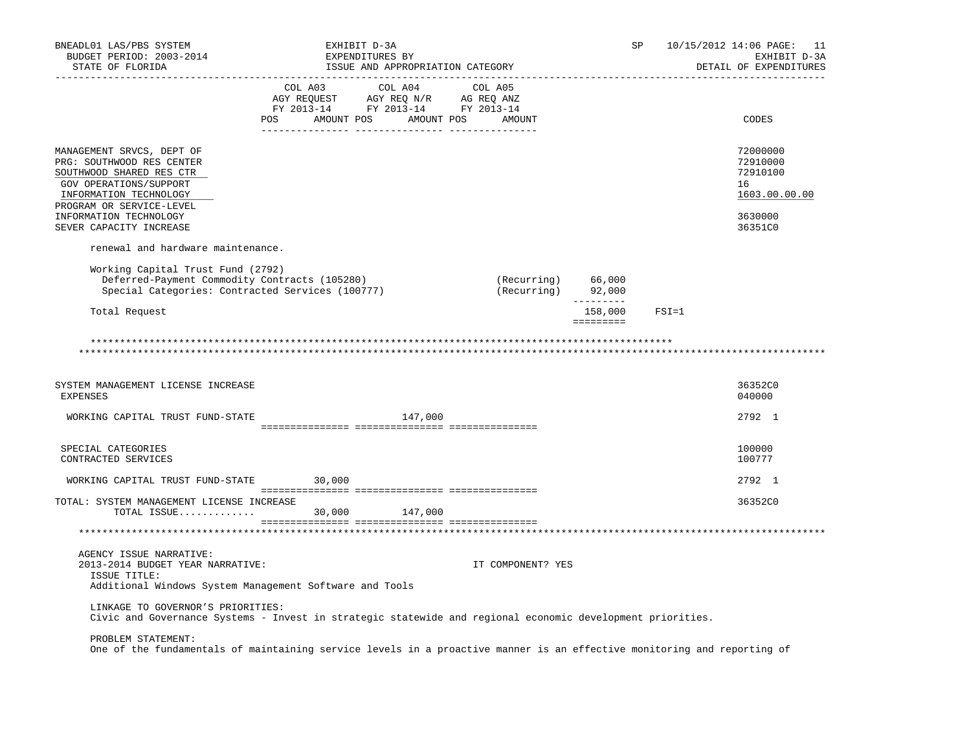| BNEADL01 LAS/PBS SYSTEM<br>BUDGET PERIOD: 2003-2014<br>STATE OF FLORIDA                                                                                                                                                 | EXHIBIT D-3A<br>EXPENDITURES BY<br>ISSUE AND APPROPRIATION CATEGORY                                                                                                                            | _______________________                  | SP                                          |           | 10/15/2012 14:06 PAGE: 11<br>EXHIBIT D-3A<br>DETAIL OF EXPENDITURES           |
|-------------------------------------------------------------------------------------------------------------------------------------------------------------------------------------------------------------------------|------------------------------------------------------------------------------------------------------------------------------------------------------------------------------------------------|------------------------------------------|---------------------------------------------|-----------|-------------------------------------------------------------------------------|
|                                                                                                                                                                                                                         | $\begin{tabular}{lcccc} COL A03 & COL A04 & COL A05 \\ AGY REQUEST & AGY REQ N/R & AG REQ ANZ \\ FY & 2013-14 & FY & 2013-14 & FY & 2013-14 \end{tabular}$<br>POS AMOUNT POS AMOUNT POS AMOUNT |                                          |                                             |           | CODES                                                                         |
| MANAGEMENT SRVCS, DEPT OF<br>PRG: SOUTHWOOD RES CENTER<br>SOUTHWOOD SHARED RES CTR<br>GOV OPERATIONS/SUPPORT<br>INFORMATION TECHNOLOGY<br>PROGRAM OR SERVICE-LEVEL<br>INFORMATION TECHNOLOGY<br>SEVER CAPACITY INCREASE |                                                                                                                                                                                                |                                          |                                             |           | 72000000<br>72910000<br>72910100<br>16<br>1603.00.00.00<br>3630000<br>36351C0 |
| renewal and hardware maintenance.                                                                                                                                                                                       |                                                                                                                                                                                                |                                          |                                             |           |                                                                               |
| Working Capital Trust Fund (2792)<br>Deferred-Payment Commodity Contracts (105280)<br>Special Categories: Contracted Services (100777)                                                                                  |                                                                                                                                                                                                | (Recurring) 66,000<br>(Recurring) 92,000 |                                             |           |                                                                               |
| Total Request                                                                                                                                                                                                           |                                                                                                                                                                                                |                                          | $- - - - - - - - -$<br>158,000<br>========= | $FSI = 1$ |                                                                               |
| SYSTEM MANAGEMENT LICENSE INCREASE<br><b>EXPENSES</b><br>WORKING CAPITAL TRUST FUND-STATE                                                                                                                               | 147,000                                                                                                                                                                                        |                                          |                                             |           | 36352C0<br>040000<br>2792 1                                                   |
|                                                                                                                                                                                                                         |                                                                                                                                                                                                |                                          |                                             |           |                                                                               |
| SPECIAL CATEGORIES<br>CONTRACTED SERVICES                                                                                                                                                                               |                                                                                                                                                                                                |                                          |                                             |           | 100000<br>100777                                                              |
| WORKING CAPITAL TRUST FUND-STATE 30,000                                                                                                                                                                                 |                                                                                                                                                                                                |                                          |                                             |           | 2792 1                                                                        |
| TOTAL: SYSTEM MANAGEMENT LICENSE INCREASE                                                                                                                                                                               | 147,000                                                                                                                                                                                        |                                          |                                             |           | 36352C0                                                                       |
| AGENCY ISSUE NARRATIVE:<br>2013-2014 BUDGET YEAR NARRATIVE:<br>ISSUE TITLE:<br>Additional Windows System Management Software and Tools                                                                                  |                                                                                                                                                                                                | IT COMPONENT? YES                        |                                             |           |                                                                               |
| LINKAGE TO GOVERNOR'S PRIORITIES:<br>Civic and Governance Systems - Invest in strategic statewide and regional economic development priorities.                                                                         |                                                                                                                                                                                                |                                          |                                             |           |                                                                               |
| PROBLEM STATEMENT:<br>One of the fundamentals of maintaining service levels in a proactive manner is an effective monitoring and reporting of                                                                           |                                                                                                                                                                                                |                                          |                                             |           |                                                                               |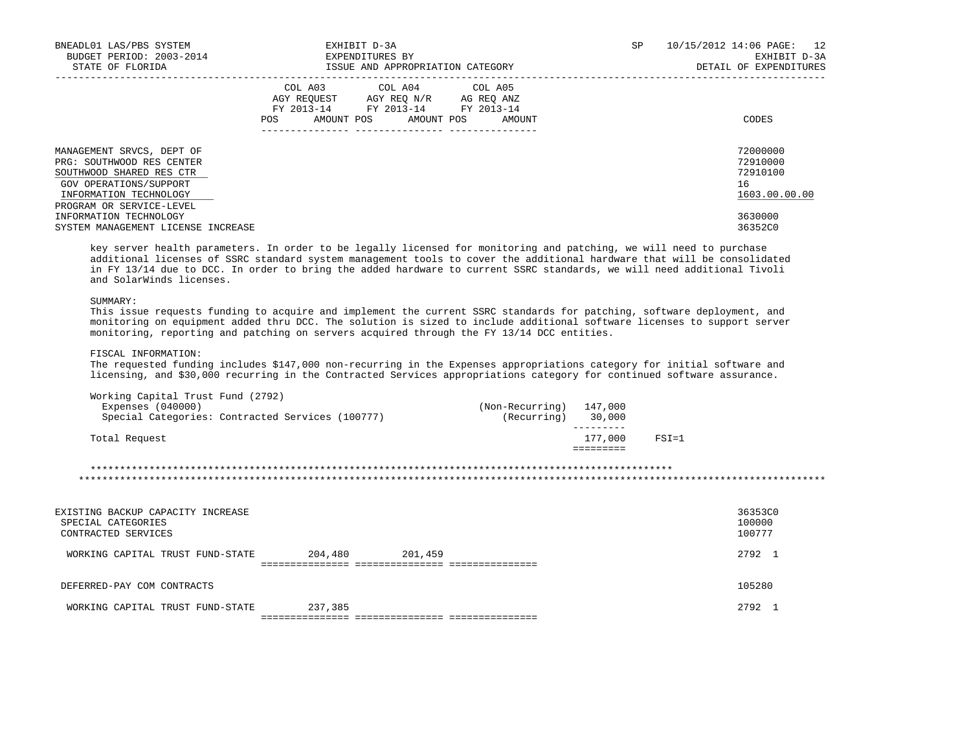| BNEADL01 LAS/PBS SYSTEM<br>BUDGET PERIOD: 2003-2014<br>STATE OF FLORIDA                                                                                            | EXHIBIT D-3A<br>EXPENDITURES BY<br>ISSUE AND APPROPRIATION CATEGORY                                                                         | 10/15/2012 14:06 PAGE: 12<br>SP.<br>EXHIBIT D-3A<br>DETAIL OF EXPENDITURES |
|--------------------------------------------------------------------------------------------------------------------------------------------------------------------|---------------------------------------------------------------------------------------------------------------------------------------------|----------------------------------------------------------------------------|
|                                                                                                                                                                    | COL A03 COL A04 COL A05<br>AGY REOUEST AGY REO N/R AG REO ANZ<br>FY 2013-14 FY 2013-14 FY 2013-14<br>AMOUNT POS AMOUNT POS<br>POS<br>AMOUNT | CODES                                                                      |
| MANAGEMENT SRVCS, DEPT OF<br>PRG: SOUTHWOOD RES CENTER<br>SOUTHWOOD SHARED RES CTR<br>GOV OPERATIONS/SUPPORT<br>INFORMATION TECHNOLOGY<br>PROGRAM OR SERVICE-LEVEL |                                                                                                                                             | 72000000<br>72910000<br>72910100<br>16<br>1603.00.00.00                    |
| INFORMATION TECHNOLOGY<br>SYSTEM MANAGEMENT LICENSE INCREASE                                                                                                       |                                                                                                                                             | 3630000<br>36352C0                                                         |

 key server health parameters. In order to be legally licensed for monitoring and patching, we will need to purchase additional licenses of SSRC standard system management tools to cover the additional hardware that will be consolidated in FY 13/14 due to DCC. In order to bring the added hardware to current SSRC standards, we will need additional Tivoli and SolarWinds licenses.

#### SUMMARY:

 This issue requests funding to acquire and implement the current SSRC standards for patching, software deployment, and monitoring on equipment added thru DCC. The solution is sized to include additional software licenses to support server monitoring, reporting and patching on servers acquired through the FY 13/14 DCC entities.

## FISCAL INFORMATION:

 The requested funding includes \$147,000 non-recurring in the Expenses appropriations category for initial software and licensing, and \$30,000 recurring in the Contracted Services appropriations category for continued software assurance.

| Total Request       |                                                  |                 | 177,000 | $FSI = 1$ |
|---------------------|--------------------------------------------------|-----------------|---------|-----------|
|                     | Special Categories: Contracted Services (100777) | (Recurring)     | 30,000  |           |
| Expenses $(040000)$ | Working Capital Trust Fund (2792)                | (Non-Recurring) | 147,000 |           |

 \*\*\*\*\*\*\*\*\*\*\*\*\*\*\*\*\*\*\*\*\*\*\*\*\*\*\*\*\*\*\*\*\*\*\*\*\*\*\*\*\*\*\*\*\*\*\*\*\*\*\*\*\*\*\*\*\*\*\*\*\*\*\*\*\*\*\*\*\*\*\*\*\*\*\*\*\*\*\*\*\*\*\*\*\*\*\*\*\*\*\*\*\*\*\*\*\*\*\* \*\*\*\*\*\*\*\*\*\*\*\*\*\*\*\*\*\*\*\*\*\*\*\*\*\*\*\*\*\*\*\*\*\*\*\*\*\*\*\*\*\*\*\*\*\*\*\*\*\*\*\*\*\*\*\*\*\*\*\*\*\*\*\*\*\*\*\*\*\*\*\*\*\*\*\*\*\*\*\*\*\*\*\*\*\*\*\*\*\*\*\*\*\*\*\*\*\*\*\*\*\*\*\*\*\*\*\*\*\*\*\*\*\*\*\*\*\*\*\*\*\*\*\*\*\*\*

| EXISTING BACKUP CAPACITY INCREASE<br>SPECIAL CATEGORIES<br>CONTRACTED SERVICES |         |         | 36353C0<br>100000<br>100777 |
|--------------------------------------------------------------------------------|---------|---------|-----------------------------|
| WORKING CAPITAL TRUST FUND-STATE                                               | 204,480 | 201,459 | 2792                        |
| DEFERRED-PAY COM CONTRACTS                                                     |         |         | 105280                      |
| WORKING CAPITAL TRUST FUND-STATE                                               | 237,385 |         | 2792                        |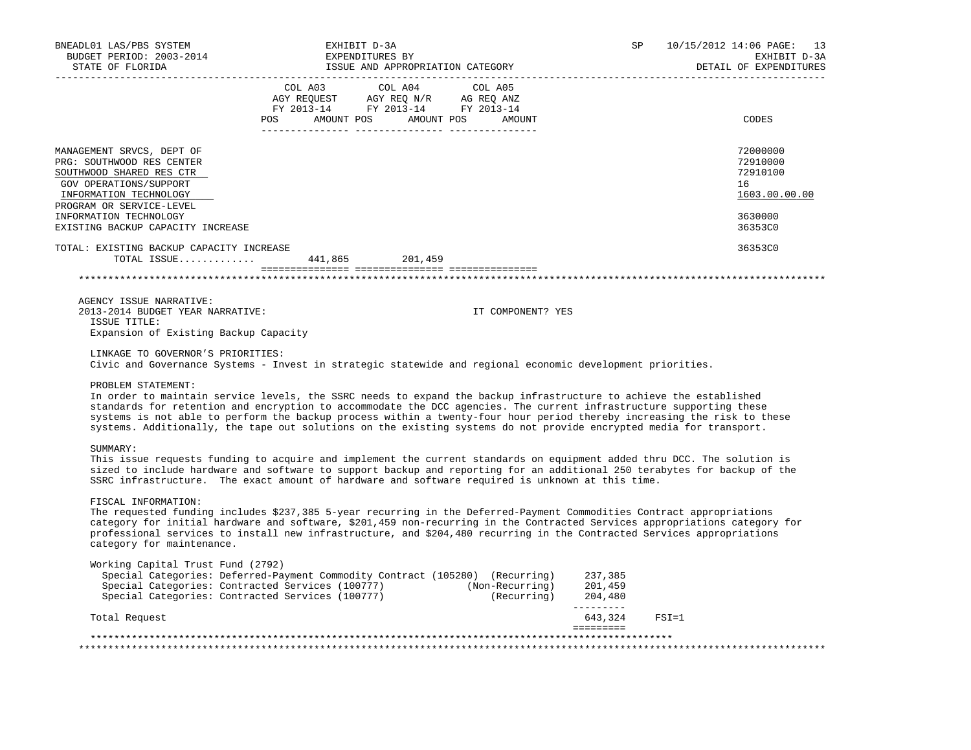| BNEADL01 LAS/PBS SYSTEM<br>BUDGET PERIOD: 2003-2014<br>STATE OF FLORIDA                                                                                            | EXHIBIT D-3A<br>EXPENDITURES BY<br>ISSUE AND APPROPRIATION CATEGORY                                                                                                                                                                                                                                                                                                                                                                                                                                                                                                                                       |                            | SP                         | 10/15/2012 14:06 PAGE: 13<br>EXHIBIT D-3A<br>DETAIL OF EXPENDITURES |
|--------------------------------------------------------------------------------------------------------------------------------------------------------------------|-----------------------------------------------------------------------------------------------------------------------------------------------------------------------------------------------------------------------------------------------------------------------------------------------------------------------------------------------------------------------------------------------------------------------------------------------------------------------------------------------------------------------------------------------------------------------------------------------------------|----------------------------|----------------------------|---------------------------------------------------------------------|
|                                                                                                                                                                    | COL A03 COL A04 COL A05<br>AGY REQUEST AGY REQ N/R AG REQ ANZ FY 2013-14 FY 2013-14 FY 2013-14<br>POS AMOUNT POS AMOUNT POS AMOUNT<br>________ _____                                                                                                                                                                                                                                                                                                                                                                                                                                                      | _________ ________________ |                            | CODES                                                               |
| MANAGEMENT SRVCS, DEPT OF<br>PRG: SOUTHWOOD RES CENTER<br>SOUTHWOOD SHARED RES CTR<br>GOV OPERATIONS/SUPPORT<br>INFORMATION TECHNOLOGY<br>PROGRAM OR SERVICE-LEVEL |                                                                                                                                                                                                                                                                                                                                                                                                                                                                                                                                                                                                           |                            |                            | 72000000<br>72910000<br>72910100<br>16<br>1603.00.00.00             |
| INFORMATION TECHNOLOGY<br>EXISTING BACKUP CAPACITY INCREASE                                                                                                        |                                                                                                                                                                                                                                                                                                                                                                                                                                                                                                                                                                                                           |                            |                            | 3630000<br>36353C0                                                  |
| TOTAL: EXISTING BACKUP CAPACITY INCREASE                                                                                                                           | TOTAL ISSUE 441,865 201,459                                                                                                                                                                                                                                                                                                                                                                                                                                                                                                                                                                               |                            |                            | 36353C0                                                             |
|                                                                                                                                                                    |                                                                                                                                                                                                                                                                                                                                                                                                                                                                                                                                                                                                           |                            | ************************** |                                                                     |
| AGENCY ISSUE NARRATIVE:<br>2013-2014 BUDGET YEAR NARRATIVE:<br>ISSUE TITLE:<br>Expansion of Existing Backup Capacity                                               |                                                                                                                                                                                                                                                                                                                                                                                                                                                                                                                                                                                                           | IT COMPONENT? YES          |                            |                                                                     |
| LINKAGE TO GOVERNOR'S PRIORITIES:<br>PROBLEM STATEMENT:                                                                                                            | Civic and Governance Systems - Invest in strategic statewide and regional economic development priorities.<br>In order to maintain service levels, the SSRC needs to expand the backup infrastructure to achieve the established<br>standards for retention and encryption to accommodate the DCC agencies. The current infrastructure supporting these<br>systems is not able to perform the backup process within a twenty-four hour period thereby increasing the risk to these<br>systems. Additionally, the tape out solutions on the existing systems do not provide encrypted media for transport. |                            |                            |                                                                     |
| SUMMARY:                                                                                                                                                           | This issue requests funding to acquire and implement the current standards on equipment added thru DCC. The solution is<br>sized to include hardware and software to support backup and reporting for an additional 250 terabytes for backup of the<br>SSRC infrastructure. The exact amount of hardware and software required is unknown at this time.                                                                                                                                                                                                                                                   |                            |                            |                                                                     |
| FISCAL INFORMATION:<br>category for maintenance.                                                                                                                   | The requested funding includes \$237,385 5-year recurring in the Deferred-Payment Commodities Contract appropriations<br>category for initial hardware and software, \$201,459 non-recurring in the Contracted Services appropriations category for<br>professional services to install new infrastructure, and \$204,480 recurring in the Contracted Services appropriations                                                                                                                                                                                                                             |                            |                            |                                                                     |
| Working Capital Trust Fund (2792)                                                                                                                                  | Special Categories: Deferred-Payment Commodity Contract (105280) (Recurring) 237,385<br>Special Categories: Contracted Services (100777) (Non-Recurring) 201,459<br>Special Categories: Contracted Services (100777) (Recurring) 204                                                                                                                                                                                                                                                                                                                                                                      |                            | __________                 |                                                                     |
| Total Request                                                                                                                                                      |                                                                                                                                                                                                                                                                                                                                                                                                                                                                                                                                                                                                           |                            | 643,324 FSI=1              |                                                                     |
|                                                                                                                                                                    |                                                                                                                                                                                                                                                                                                                                                                                                                                                                                                                                                                                                           |                            |                            |                                                                     |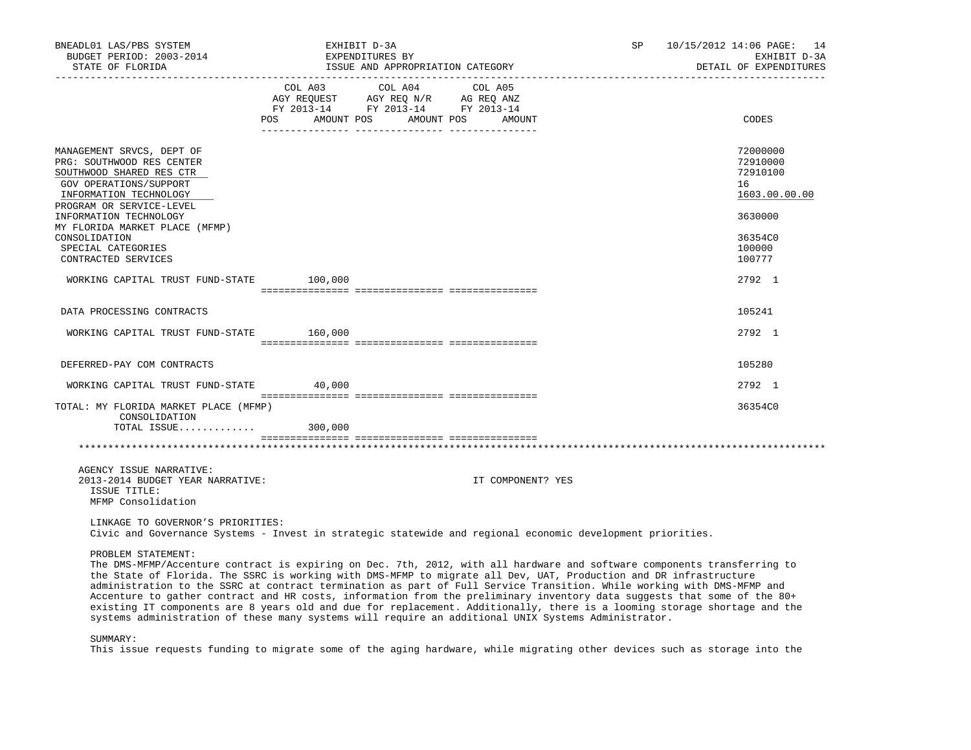| BNEADL01 LAS/PBS SYSTEM<br>BUDGET PERIOD: 2003-2014<br>STATE OF FLORIDA                                                                                            | EXHIBIT D-3A<br>EXPENDITURES BY<br>ISSUE AND APPROPRIATION CATEGORY                                                                                                                                                                                                 | 10/15/2012 14:06 PAGE: 14<br>SP<br>EXHIBIT D-3A<br>DETAIL OF EXPENDITURES                                                                                                                                                                                                                                                                                                         |
|--------------------------------------------------------------------------------------------------------------------------------------------------------------------|---------------------------------------------------------------------------------------------------------------------------------------------------------------------------------------------------------------------------------------------------------------------|-----------------------------------------------------------------------------------------------------------------------------------------------------------------------------------------------------------------------------------------------------------------------------------------------------------------------------------------------------------------------------------|
|                                                                                                                                                                    | COL A03 COL A04 COL A05<br>$\begin{tabular}{lllllll} \bf AGY \,\, REQUEST \,\, &\bf AGY \,\, REQ \,\, N/R &\bf AG \,\, REQ \,\, ANZ \\ \bf FY \,\, 2013-14 &\bf FY \,\, 2013-14 &\bf FY \,\, 2013-14 \\ \end{tabular}$<br>POS<br>AMOUNT POS<br>AMOUNT POS<br>AMOUNT | CODES                                                                                                                                                                                                                                                                                                                                                                             |
| MANAGEMENT SRVCS, DEPT OF<br>PRG: SOUTHWOOD RES CENTER<br>SOUTHWOOD SHARED RES CTR<br>GOV OPERATIONS/SUPPORT<br>INFORMATION TECHNOLOGY<br>PROGRAM OR SERVICE-LEVEL |                                                                                                                                                                                                                                                                     | 72000000<br>72910000<br>72910100<br>16<br>1603.00.00.00                                                                                                                                                                                                                                                                                                                           |
| INFORMATION TECHNOLOGY<br>MY FLORIDA MARKET PLACE (MFMP)<br>CONSOLIDATION                                                                                          |                                                                                                                                                                                                                                                                     | 3630000<br>36354C0                                                                                                                                                                                                                                                                                                                                                                |
| SPECIAL CATEGORIES<br>CONTRACTED SERVICES                                                                                                                          |                                                                                                                                                                                                                                                                     | 100000<br>100777                                                                                                                                                                                                                                                                                                                                                                  |
| WORKING CAPITAL TRUST FUND-STATE 100,000                                                                                                                           |                                                                                                                                                                                                                                                                     | 2792 1                                                                                                                                                                                                                                                                                                                                                                            |
| DATA PROCESSING CONTRACTS                                                                                                                                          |                                                                                                                                                                                                                                                                     | 105241                                                                                                                                                                                                                                                                                                                                                                            |
| WORKING CAPITAL TRUST FUND-STATE 160,000                                                                                                                           |                                                                                                                                                                                                                                                                     | 2792 1                                                                                                                                                                                                                                                                                                                                                                            |
| DEFERRED-PAY COM CONTRACTS                                                                                                                                         |                                                                                                                                                                                                                                                                     | 105280                                                                                                                                                                                                                                                                                                                                                                            |
| WORKING CAPITAL TRUST FUND-STATE 40,000                                                                                                                            |                                                                                                                                                                                                                                                                     | 2792 1                                                                                                                                                                                                                                                                                                                                                                            |
| TOTAL: MY FLORIDA MARKET PLACE (MFMP)<br>CONSOLIDATION                                                                                                             |                                                                                                                                                                                                                                                                     | 36354C0                                                                                                                                                                                                                                                                                                                                                                           |
| TOTAL ISSUE 300,000                                                                                                                                                |                                                                                                                                                                                                                                                                     |                                                                                                                                                                                                                                                                                                                                                                                   |
| AGENCY ISSUE NARRATIVE:<br>2013-2014 BUDGET YEAR NARRATIVE:<br>ISSUE TITLE:<br>MFMP Consolidation                                                                  | IT COMPONENT? YES                                                                                                                                                                                                                                                   |                                                                                                                                                                                                                                                                                                                                                                                   |
| LINKAGE TO GOVERNOR'S PRIORITIES:                                                                                                                                  | Civic and Governance Systems - Invest in strategic statewide and regional economic development priorities.                                                                                                                                                          |                                                                                                                                                                                                                                                                                                                                                                                   |
| PROBLEM STATEMENT:                                                                                                                                                 | the State of Florida. The SSRC is working with DMS-MFMP to migrate all Dev, UAT, Production and DR infrastructure<br>administration to the SSRC at contract termination as part of Full Service Transition. While working with DMS-MFMP and                         | The DMS-MFMP/Accenture contract is expiring on Dec. 7th, 2012, with all hardware and software components transferring to<br>Accenture to gather contract and HR costs, information from the preliminary inventory data suggests that some of the 80+<br>existing IT components are 8 years old and due for replacement. Additionally, there is a looming storage shortage and the |

SUMMARY:

This issue requests funding to migrate some of the aging hardware, while migrating other devices such as storage into the

systems administration of these many systems will require an additional UNIX Systems Administrator.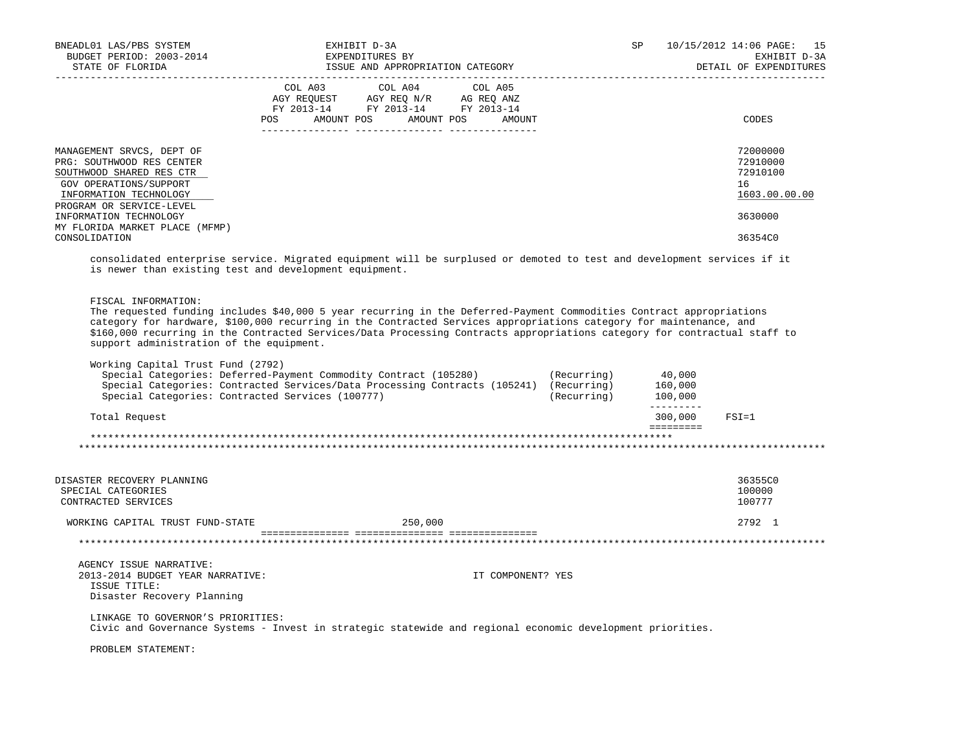| BNEADL01 LAS/PBS SYSTEM<br>BUDGET PERIOD: 2003-2014<br>STATE OF FLORIDA                                                                                                                                                                                                                                                                                                                                                                    |                                  | EXHIBIT D-3A<br>EXPENDITURES BY<br>ISSUE AND APPROPRIATION CATEGORY                                                                                        |                   | SP                         |                                                     | 10/15/2012 14:06 PAGE: 15<br>EXHIBIT D-3A<br>DETAIL OF EXPENDITURES |
|--------------------------------------------------------------------------------------------------------------------------------------------------------------------------------------------------------------------------------------------------------------------------------------------------------------------------------------------------------------------------------------------------------------------------------------------|----------------------------------|------------------------------------------------------------------------------------------------------------------------------------------------------------|-------------------|----------------------------|-----------------------------------------------------|---------------------------------------------------------------------|
|                                                                                                                                                                                                                                                                                                                                                                                                                                            | POS AMOUNT POS AMOUNT POS AMOUNT | $\begin{tabular}{lcccc} COL A03 & COL A04 & COL A05 \\ AGY REQUEST & AGY REQ N/R & AG REQ ANZ \\ FY & 2013-14 & FY & 2013-14 & FY & 2013-14 \end{tabular}$ |                   |                            |                                                     | CODES                                                               |
| MANAGEMENT SRVCS, DEPT OF<br>PRG: SOUTHWOOD RES CENTER<br>SOUTHWOOD SHARED RES CTR<br>GOV OPERATIONS/SUPPORT<br>INFORMATION TECHNOLOGY<br>PROGRAM OR SERVICE-LEVEL                                                                                                                                                                                                                                                                         |                                  |                                                                                                                                                            |                   |                            |                                                     | 72000000<br>72910000<br>72910100<br>16<br>1603.00.00.00             |
| INFORMATION TECHNOLOGY<br>MY FLORIDA MARKET PLACE (MFMP)                                                                                                                                                                                                                                                                                                                                                                                   |                                  |                                                                                                                                                            |                   |                            |                                                     | 3630000                                                             |
| CONSOLIDATION                                                                                                                                                                                                                                                                                                                                                                                                                              |                                  |                                                                                                                                                            |                   |                            |                                                     | 36354C0                                                             |
| consolidated enterprise service. Migrated equipment will be surplused or demoted to test and development services if it<br>is newer than existing test and development equipment.                                                                                                                                                                                                                                                          |                                  |                                                                                                                                                            |                   |                            |                                                     |                                                                     |
| FISCAL INFORMATION:<br>The requested funding includes \$40,000 5 year recurring in the Deferred-Payment Commodities Contract appropriations<br>category for hardware, \$100,000 recurring in the Contracted Services appropriations category for maintenance, and<br>\$160,000 recurring in the Contracted Services/Data Processing Contracts appropriations category for contractual staff to<br>support administration of the equipment. |                                  |                                                                                                                                                            |                   |                            |                                                     |                                                                     |
| Working Capital Trust Fund (2792)<br>Special Categories: Deferred-Payment Commodity Contract (105280)<br>Special Categories: Contracted Services/Data Processing Contracts (105241) (Recurring)<br>Special Categories: Contracted Services (100777)                                                                                                                                                                                        |                                  |                                                                                                                                                            |                   | (Recurring)<br>(Recurring) | 40,000<br>160,000<br>100,000<br>$- - - - - - - - -$ |                                                                     |
| Total Request                                                                                                                                                                                                                                                                                                                                                                                                                              |                                  |                                                                                                                                                            |                   |                            | 300,000<br>=========                                | $FSI = 1$                                                           |
|                                                                                                                                                                                                                                                                                                                                                                                                                                            |                                  |                                                                                                                                                            |                   |                            |                                                     |                                                                     |
| DISASTER RECOVERY PLANNING<br>SPECIAL CATEGORIES<br>CONTRACTED SERVICES                                                                                                                                                                                                                                                                                                                                                                    |                                  |                                                                                                                                                            |                   |                            |                                                     | 36355C0<br>100000<br>100777                                         |
| WORKING CAPITAL TRUST FUND-STATE                                                                                                                                                                                                                                                                                                                                                                                                           |                                  | 250,000                                                                                                                                                    |                   |                            |                                                     | 2792 1                                                              |
|                                                                                                                                                                                                                                                                                                                                                                                                                                            |                                  |                                                                                                                                                            |                   |                            |                                                     |                                                                     |
| AGENCY ISSUE NARRATIVE:<br>2013-2014 BUDGET YEAR NARRATIVE:<br>ISSUE TITLE:<br>Disaster Recovery Planning                                                                                                                                                                                                                                                                                                                                  |                                  |                                                                                                                                                            | IT COMPONENT? YES |                            |                                                     |                                                                     |
| LINKAGE TO GOVERNOR'S PRIORITIES:<br>Civic and Governance Systems - Invest in strategic statewide and regional economic development priorities.                                                                                                                                                                                                                                                                                            |                                  |                                                                                                                                                            |                   |                            |                                                     |                                                                     |
| PROBLEM STATEMENT:                                                                                                                                                                                                                                                                                                                                                                                                                         |                                  |                                                                                                                                                            |                   |                            |                                                     |                                                                     |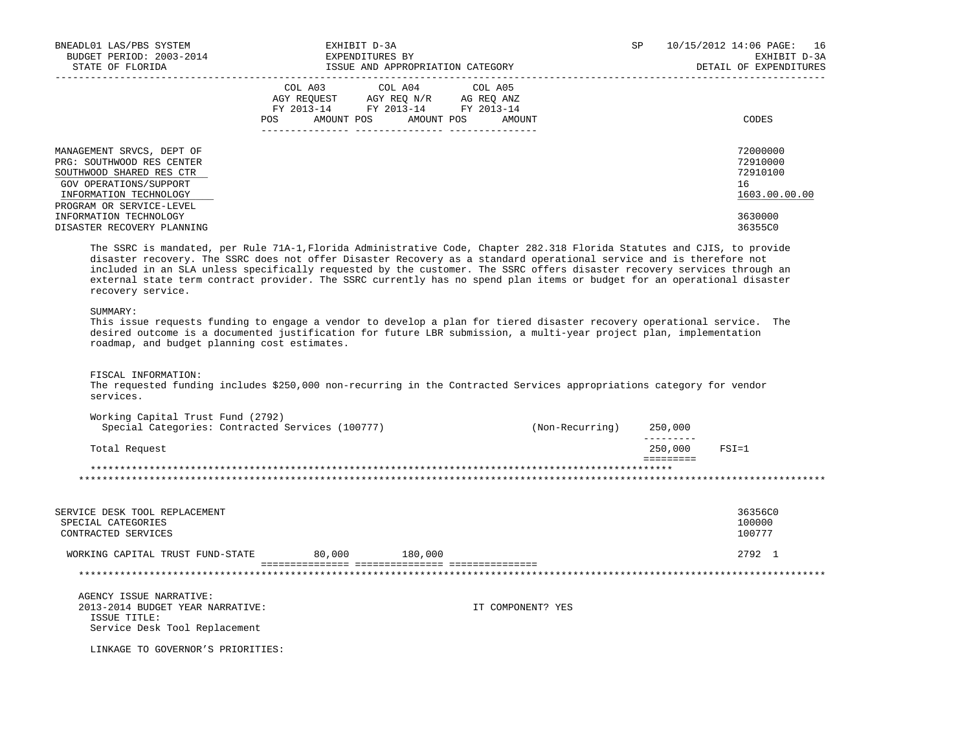| BNEADL01 LAS/PBS SYSTEM                                                                                                                                                                                                                                     | EXHIBIT D-3A<br>BUDGET PERIOD: 2003-2014<br>STATE OF FLORIDA<br>STATE OF FLORIDA<br>STATE OF STATE AND APPROP<br>ISSUE AND APPROPRIATION CATEGORY                                                                                                                                                                                                                                                                                                                                                     |                 | SP      | 10/15/2012 14:06 PAGE: 16<br>EXHIBIT D-3A<br>DETAIL OF EXPENDITURES           |
|-------------------------------------------------------------------------------------------------------------------------------------------------------------------------------------------------------------------------------------------------------------|-------------------------------------------------------------------------------------------------------------------------------------------------------------------------------------------------------------------------------------------------------------------------------------------------------------------------------------------------------------------------------------------------------------------------------------------------------------------------------------------------------|-----------------|---------|-------------------------------------------------------------------------------|
|                                                                                                                                                                                                                                                             | COL A03 COL A04 COL A05<br>AGY REQUEST AGY REQ N/R AG REQ ANZ<br>FY 2013-14 FY 2013-14 FY 2013-14<br>POS AMOUNT POS AMOUNT POS                                                                                                                                                                                                                                                                                                                                                                        | AMOUNT          |         | CODES                                                                         |
| MANAGEMENT SRVCS, DEPT OF<br>PRG: SOUTHWOOD RES CENTER<br>SOUTHWOOD SHARED RES CTR<br>GOV OPERATIONS/SUPPORT<br>INFORMATION TECHNOLOGY<br>PROGRAM OR SERVICE-LEVEL<br>INFORMATION TECHNOLOGY<br>DISASTER RECOVERY PLANNING<br>recovery service.<br>SUMMARY: | The SSRC is mandated, per Rule 71A-1, Florida Administrative Code, Chapter 282.318 Florida Statutes and CJIS, to provide<br>disaster recovery. The SSRC does not offer Disaster Recovery as a standard operational service and is therefore not<br>included in an SLA unless specifically requested by the customer. The SSRC offers disaster recovery services through an<br>external state term contract provider. The SSRC currently has no spend plan items or budget for an operational disaster |                 |         | 72000000<br>72910000<br>72910100<br>16<br>1603.00.00.00<br>3630000<br>36355C0 |
| roadmap, and budget planning cost estimates.                                                                                                                                                                                                                | This issue requests funding to engage a vendor to develop a plan for tiered disaster recovery operational service. The<br>desired outcome is a documented justification for future LBR submission, a multi-year project plan, implementation                                                                                                                                                                                                                                                          |                 |         |                                                                               |
| FISCAL INFORMATION:<br>services.                                                                                                                                                                                                                            | The requested funding includes \$250,000 non-recurring in the Contracted Services appropriations category for vendor                                                                                                                                                                                                                                                                                                                                                                                  |                 |         |                                                                               |
| Working Capital Trust Fund (2792)                                                                                                                                                                                                                           | Special Categories: Contracted Services (100777)                                                                                                                                                                                                                                                                                                                                                                                                                                                      | (Non-Recurring) | 250,000 |                                                                               |
| Total Request                                                                                                                                                                                                                                               |                                                                                                                                                                                                                                                                                                                                                                                                                                                                                                       |                 | 250,000 | $FSI=1$                                                                       |

\*\*\*\*\*\*\*\*\*\*\*\*\*\*\*\*\*\*\*\*\*\*\*\*\*\*\*\*\*\*\*\*\*\*\*\*\*\*\*\*\*\*\*\*\*\*\*\*\*\*\*\*\*\*\*\*\*\*\*\*\*\*\*\*\*\*\*\*\*\*\*\*\*\*\*\*\*\*\*\*\*\*\*\*\*\*\*\*\*\*\*\*\*\*\*\*\*\*\*\*\*\*\*\*\*\*\*\*\*\*\*\*\*\*\*\*\*\*\*\*\*\*\*\*\*\*\*

\*\*\*\*\*\*\*\*\*\*\*\*\*\*\*\*\*\*\*\*\*\*\*\*\*\*\*\*\*\*\*\*\*\*\*\*\*\*\*\*\*\*\*\*\*\*\*\*\*\*\*\*\*\*\*\*\*\*\*\*\*\*\*\*\*\*\*\*\*\*\*\*\*\*\*\*\*\*\*\*\*\*\*\*\*\*\*\*\*\*\*\*\*\*\*\*\*\*\*\*\*\*\*\*\*\*\*\*\*\*\*\*\*\*\*\*\*\*\*\*\*\*\*\*\*\*\*

SERVICE DESK TOOL REPLACEMENT<br>SPECIAL CATEGORIES 100000 SPECIAL CATEGORIES 100000 POSTAGORIES AND SERVICES AND SERVICES AND SERVICES AND SERVICES AND SERVICES AND SERVICES

WORKING CAPITAL TRUST FUND-STATE 80,000 180,000 2792 1

=============== =============== ===============

 ========= \*\*\*\*\*\*\*\*\*\*\*\*\*\*\*\*\*\*\*\*\*\*\*\*\*\*\*\*\*\*\*\*\*\*\*\*\*\*\*\*\*\*\*\*\*\*\*\*\*\*\*\*\*\*\*\*\*\*\*\*\*\*\*\*\*\*\*\*\*\*\*\*\*\*\*\*\*\*\*\*\*\*\*\*\*\*\*\*\*\*\*\*\*\*\*\*\*\*\*

 AGENCY ISSUE NARRATIVE: 2013-2014 BUDGET YEAR NARRATIVE: IT COMPONENT? YES ISSUE TITLE: Service Desk Tool Replacement

CONTRACTED SERVICES

LINKAGE TO GOVERNOR'S PRIORITIES: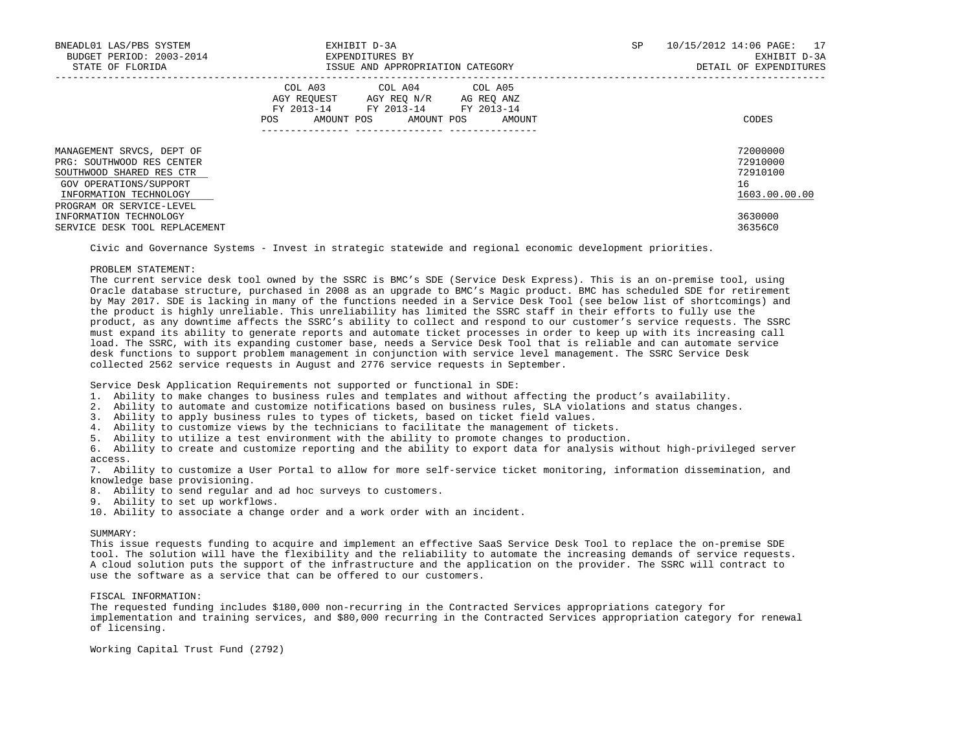| EXHIBIT D-3A<br>BNEADL01 LAS/PBS SYSTEM<br>BUDGET PERIOD: 2003-2014<br>EXPENDITURES BY<br>STATE OF FLORIDA<br>ISSUE AND APPROPRIATION CATEGORY                     |                                                                                                                                                   |  | 10/15/2012 14:06 PAGE: 17<br>EXHIBIT D-3A<br>DETAIL OF EXPENDITURES |
|--------------------------------------------------------------------------------------------------------------------------------------------------------------------|---------------------------------------------------------------------------------------------------------------------------------------------------|--|---------------------------------------------------------------------|
|                                                                                                                                                                    | COL A03<br>COL A04 COL A05<br>AGY REQUEST AGY REQ N/R AG REQ ANZ<br>FY 2013-14 FY 2013-14 FY 2013-14<br>AMOUNT POS<br>AMOUNT POS<br>POS<br>AMOUNT |  | CODES                                                               |
| MANAGEMENT SRVCS, DEPT OF<br>PRG: SOUTHWOOD RES CENTER<br>SOUTHWOOD SHARED RES CTR<br>GOV OPERATIONS/SUPPORT<br>INFORMATION TECHNOLOGY<br>PROGRAM OR SERVICE-LEVEL |                                                                                                                                                   |  | 72000000<br>72910000<br>72910100<br>16<br>1603.00.00.00             |
| INFORMATION TECHNOLOGY<br>SERVICE DESK TOOL REPLACEMENT                                                                                                            |                                                                                                                                                   |  | 3630000<br>36356C0                                                  |

Civic and Governance Systems - Invest in strategic statewide and regional economic development priorities.

### PROBLEM STATEMENT:

 The current service desk tool owned by the SSRC is BMC's SDE (Service Desk Express). This is an on-premise tool, using Oracle database structure, purchased in 2008 as an upgrade to BMC's Magic product. BMC has scheduled SDE for retirement by May 2017. SDE is lacking in many of the functions needed in a Service Desk Tool (see below list of shortcomings) and the product is highly unreliable. This unreliability has limited the SSRC staff in their efforts to fully use the product, as any downtime affects the SSRC's ability to collect and respond to our customer's service requests. The SSRC must expand its ability to generate reports and automate ticket processes in order to keep up with its increasing call load. The SSRC, with its expanding customer base, needs a Service Desk Tool that is reliable and can automate service desk functions to support problem management in conjunction with service level management. The SSRC Service Desk collected 2562 service requests in August and 2776 service requests in September.

Service Desk Application Requirements not supported or functional in SDE:

- 1. Ability to make changes to business rules and templates and without affecting the product's availability.
- 2. Ability to automate and customize notifications based on business rules, SLA violations and status changes.
- 3. Ability to apply business rules to types of tickets, based on ticket field values.
- 4. Ability to customize views by the technicians to facilitate the management of tickets.
- 5. Ability to utilize a test environment with the ability to promote changes to production.

 6. Ability to create and customize reporting and the ability to export data for analysis without high-privileged server access.

 7. Ability to customize a User Portal to allow for more self-service ticket monitoring, information dissemination, and knowledge base provisioning.

- 8. Ability to send regular and ad hoc surveys to customers.
- 9. Ability to set up workflows.
- 10. Ability to associate a change order and a work order with an incident.

# SUMMARY:

 This issue requests funding to acquire and implement an effective SaaS Service Desk Tool to replace the on-premise SDE tool. The solution will have the flexibility and the reliability to automate the increasing demands of service requests. A cloud solution puts the support of the infrastructure and the application on the provider. The SSRC will contract to use the software as a service that can be offered to our customers.

#### FISCAL INFORMATION:

 The requested funding includes \$180,000 non-recurring in the Contracted Services appropriations category for implementation and training services, and \$80,000 recurring in the Contracted Services appropriation category for renewal of licensing.

Working Capital Trust Fund (2792)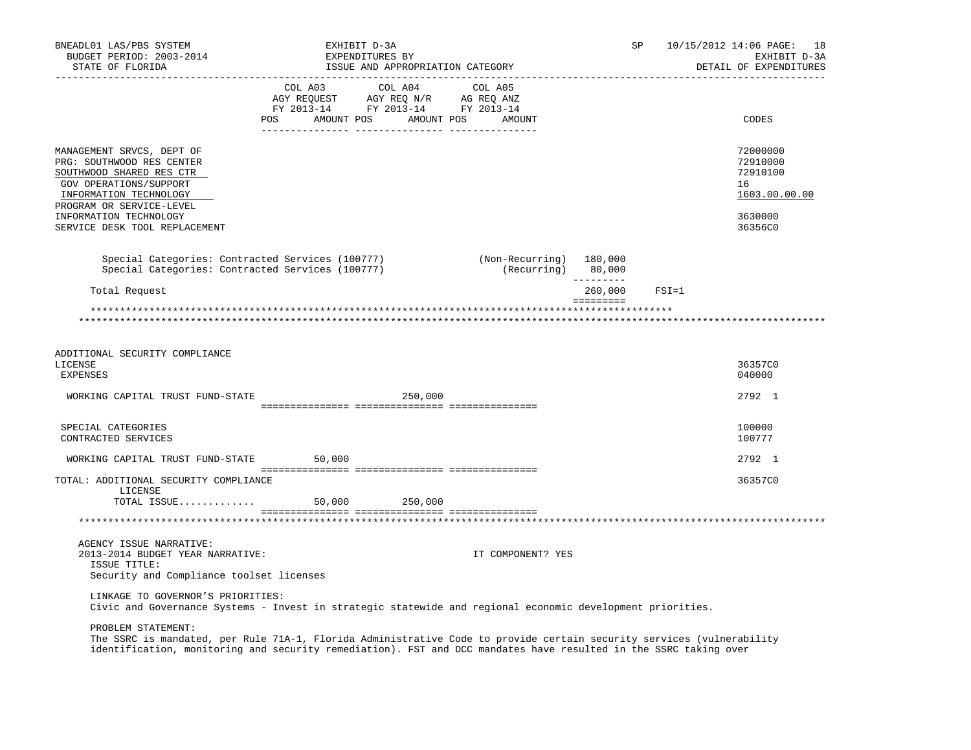| BNEADL01 LAS/PBS SYSTEM<br>BUDGET PERIOD: 2003-2014<br>STATE OF FLORIDA                                                                                                                                                                                         |                                                                                                                   | EXHIBIT D-3A<br>EXPENDITURES BY<br>ISSUE AND APPROPRIATION CATEGORY |                                                                          | SP                   |           | 10/15/2012 14:06 PAGE: 18<br>EXHIBIT D-3A<br>DETAIL OF EXPENDITURES           |
|-----------------------------------------------------------------------------------------------------------------------------------------------------------------------------------------------------------------------------------------------------------------|-------------------------------------------------------------------------------------------------------------------|---------------------------------------------------------------------|--------------------------------------------------------------------------|----------------------|-----------|-------------------------------------------------------------------------------|
|                                                                                                                                                                                                                                                                 | COL A03<br>COL AU3 COL AU4 COL AU5<br>AGY REQUEST AGY REQ N/R AG REQ ANZ<br>FY 2013-14 FY 2013-14 FY 2013-14<br>. | COL A04                                                             | COL A05<br>POS AMOUNT POS AMOUNT POS AMOUNT<br>-------- ---------------- |                      |           | CODES                                                                         |
| MANAGEMENT SRVCS, DEPT OF<br>PRG: SOUTHWOOD RES CENTER<br>SOUTHWOOD SHARED RES CTR<br>GOV OPERATIONS/SUPPORT<br>INFORMATION TECHNOLOGY<br>PROGRAM OR SERVICE-LEVEL<br>INFORMATION TECHNOLOGY<br>SERVICE DESK TOOL REPLACEMENT                                   |                                                                                                                   |                                                                     |                                                                          |                      |           | 72000000<br>72910000<br>72910100<br>16<br>1603.00.00.00<br>3630000<br>36356C0 |
| Special Categories: Contracted Services (100777)<br>Special Categories: Contracted Services (100777)                                                                                                                                                            |                                                                                                                   |                                                                     | (Non-Recurring) 180,000<br>(Recurring) 80,000                            |                      |           |                                                                               |
| Total Request                                                                                                                                                                                                                                                   |                                                                                                                   |                                                                     |                                                                          | ---------<br>260,000 | $FSI = 1$ |                                                                               |
| ADDITIONAL SECURITY COMPLIANCE<br>LICENSE                                                                                                                                                                                                                       |                                                                                                                   |                                                                     |                                                                          |                      |           | 36357C0                                                                       |
| <b>EXPENSES</b>                                                                                                                                                                                                                                                 |                                                                                                                   |                                                                     |                                                                          |                      |           | 040000                                                                        |
| WORKING CAPITAL TRUST FUND-STATE                                                                                                                                                                                                                                |                                                                                                                   | 250,000                                                             |                                                                          |                      |           | 2792 1                                                                        |
| SPECIAL CATEGORIES<br>CONTRACTED SERVICES                                                                                                                                                                                                                       |                                                                                                                   |                                                                     |                                                                          |                      |           | 100000<br>100777                                                              |
| WORKING CAPITAL TRUST FUND-STATE 50,000                                                                                                                                                                                                                         |                                                                                                                   |                                                                     |                                                                          |                      |           | 2792 1                                                                        |
| TOTAL: ADDITIONAL SECURITY COMPLIANCE<br>LICENSE<br>TOTAL ISSUE 50,000 250,000                                                                                                                                                                                  |                                                                                                                   |                                                                     |                                                                          |                      |           | 36357C0                                                                       |
|                                                                                                                                                                                                                                                                 |                                                                                                                   |                                                                     |                                                                          |                      |           |                                                                               |
| AGENCY ISSUE NARRATIVE:<br>2013-2014 BUDGET YEAR NARRATIVE:<br>ISSUE TITLE:<br>Security and Compliance toolset licenses                                                                                                                                         |                                                                                                                   |                                                                     | IT COMPONENT? YES                                                        |                      |           |                                                                               |
| LINKAGE TO GOVERNOR'S PRIORITIES:<br>Civic and Governance Systems - Invest in strategic statewide and regional economic development priorities.                                                                                                                 |                                                                                                                   |                                                                     |                                                                          |                      |           |                                                                               |
| PROBLEM STATEMENT:<br>The SSRC is mandated, per Rule 71A-1, Florida Administrative Code to provide certain security services (vulnerability<br>identification, monitoring and security remediation). FST and DCC mandates have resulted in the SSRC taking over |                                                                                                                   |                                                                     |                                                                          |                      |           |                                                                               |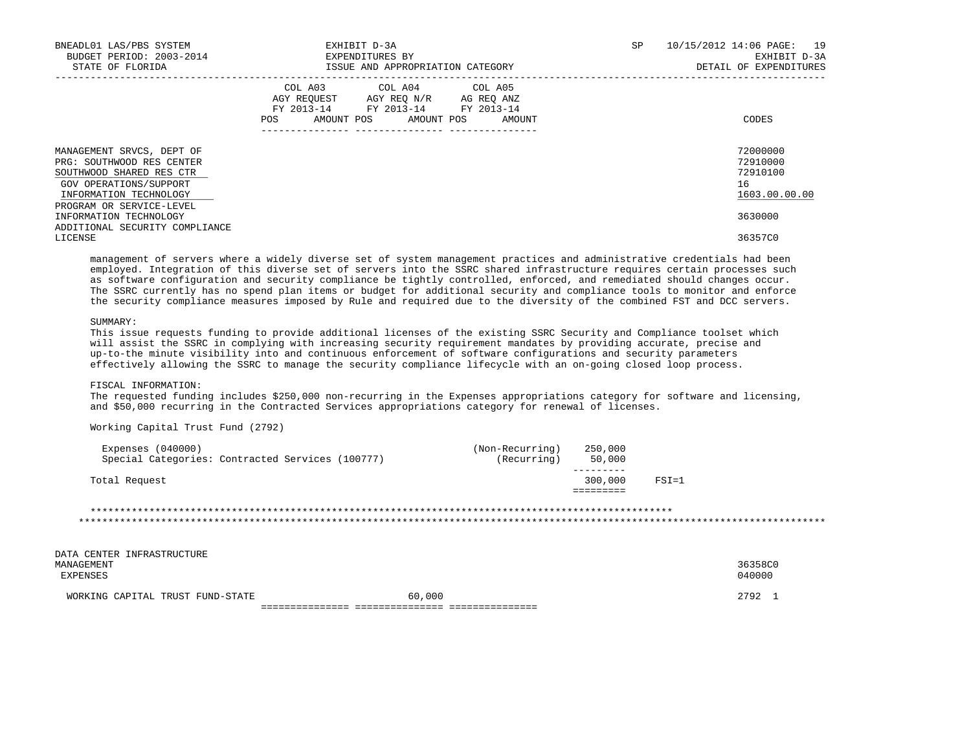| BNEADL01 LAS/PBS SYSTEM<br>BUDGET PERIOD: 2003-2014<br>STATE OF FLORIDA                                                                | EXHIBIT D-3A<br>EXPENDITURES BY<br>ISSUE AND APPROPRIATION CATEGORY                                                                   | 10/15/2012 14:06 PAGE: 19<br>SP<br>EXHIBIT D-3A<br>DETAIL OF EXPENDITURES |
|----------------------------------------------------------------------------------------------------------------------------------------|---------------------------------------------------------------------------------------------------------------------------------------|---------------------------------------------------------------------------|
|                                                                                                                                        | COL A03 COL A04 COL A05<br>AGY REQUEST AGY REQ N/R AG REQ ANZ<br>FY 2013-14 FY 2013-14 FY 2013-14<br>POS AMOUNT POS AMOUNT POS AMOUNT | CODES                                                                     |
| MANAGEMENT SRVCS, DEPT OF<br>PRG: SOUTHWOOD RES CENTER<br>SOUTHWOOD SHARED RES CTR<br>GOV OPERATIONS/SUPPORT<br>INFORMATION TECHNOLOGY |                                                                                                                                       | 72000000<br>72910000<br>72910100<br>16<br>1603.00.00.00                   |
| PROGRAM OR SERVICE-LEVEL<br>INFORMATION TECHNOLOGY<br>ADDITIONAL SECURITY COMPLIANCE<br>LICENSE                                        |                                                                                                                                       | 3630000<br>36357C0                                                        |

 management of servers where a widely diverse set of system management practices and administrative credentials had been employed. Integration of this diverse set of servers into the SSRC shared infrastructure requires certain processes such as software configuration and security compliance be tightly controlled, enforced, and remediated should changes occur. The SSRC currently has no spend plan items or budget for additional security and compliance tools to monitor and enforce the security compliance measures imposed by Rule and required due to the diversity of the combined FST and DCC servers.

## SUMMARY:

 This issue requests funding to provide additional licenses of the existing SSRC Security and Compliance toolset which will assist the SSRC in complying with increasing security requirement mandates by providing accurate, precise and up-to-the minute visibility into and continuous enforcement of software configurations and security parameters effectively allowing the SSRC to manage the security compliance lifecycle with an on-going closed loop process.

## FISCAL INFORMATION:

 The requested funding includes \$250,000 non-recurring in the Expenses appropriations category for software and licensing, and \$50,000 recurring in the Contracted Services appropriations category for renewal of licenses.

Working Capital Trust Fund (2792)

#### \*\*\*\*\*\*\*\*\*\*\*\*\*\*\*\*\*\*\*\*\*\*\*\*\*\*\*\*\*\*\*\*\*\*\*\*\*\*\*\*\*\*\*\*\*\*\*\*\*\*\*\*\*\*\*\*\*\*\*\*\*\*\*\*\*\*\*\*\*\*\*\*\*\*\*\*\*\*\*\*\*\*\*\*\*\*\*\*\*\*\*\*\*\*\*\*\*\*\* \*\*\*\*\*\*\*\*\*\*\*\*\*\*\*\*\*\*\*\*\*\*\*\*\*\*\*\*\*\*\*\*\*\*\*\*\*\*\*\*\*\*\*\*\*\*\*\*\*\*\*\*\*\*\*\*\*\*\*\*\*\*\*\*\*\*\*\*\*\*\*\*\*\*\*\*\*\*\*\*\*\*\*\*\*\*\*\*\*\*\*\*\*\*\*\*\*\*\*\*\*\*\*\*\*\*\*\*\*\*\*\*\*\*\*\*\*\*\*\*\*\*\*\*\*\*\*

DATA CENTER INFRASTRUCTURE<br>MANAGEMENT

 MANAGEMENT 36358C0 EXPENSES 040000 WORKING CAPITAL TRUST FUND-STATE  $60,000$ =============== =============== ===============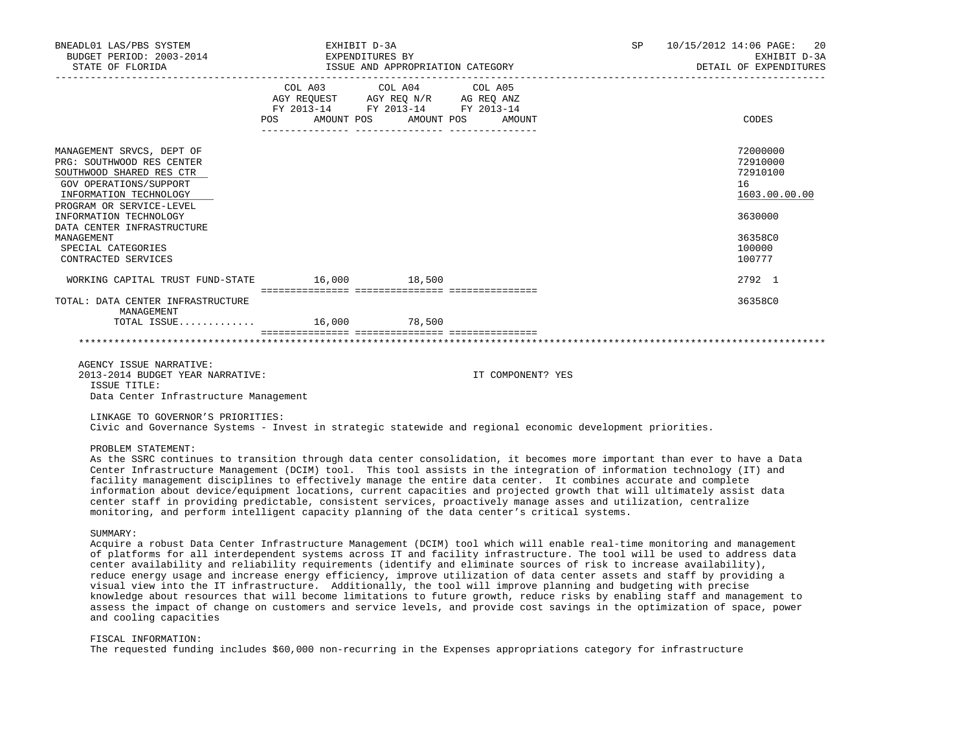| BNEADL01 LAS/PBS SYSTEM<br>BUDGET PERIOD: 2003-2014<br>STATE OF FLORIDA | EXHIBIT D-3A<br>EXPENDITURES BY | ISSUE AND APPROPRIATION CATEGORY                                                                            | SP | 10/15/2012 14:06 PAGE: 20<br>EXHIBIT D-3A<br>DETAIL OF EXPENDITURES |
|-------------------------------------------------------------------------|---------------------------------|-------------------------------------------------------------------------------------------------------------|----|---------------------------------------------------------------------|
|                                                                         | POS AMOUNT POS AMOUNT POS       | COL A03 COL A04 COL A05<br>AGY REQUEST AGY REQ N/R AG REQ ANZ<br>FY 2013-14 FY 2013-14 FY 2013-14<br>AMOUNT |    | CODES                                                               |
| MANAGEMENT SRVCS, DEPT OF                                               |                                 |                                                                                                             |    | 72000000                                                            |
| PRG: SOUTHWOOD RES CENTER                                               |                                 |                                                                                                             |    | 72910000                                                            |
| SOUTHWOOD SHARED RES CTR                                                |                                 |                                                                                                             |    | 72910100                                                            |
| GOV OPERATIONS/SUPPORT                                                  |                                 |                                                                                                             |    | 16                                                                  |
| INFORMATION TECHNOLOGY                                                  |                                 |                                                                                                             |    | 1603.00.00.00                                                       |
| PROGRAM OR SERVICE-LEVEL                                                |                                 |                                                                                                             |    |                                                                     |
| INFORMATION TECHNOLOGY                                                  |                                 |                                                                                                             |    | 3630000                                                             |
| DATA CENTER INFRASTRUCTURE<br>MANAGEMENT                                |                                 |                                                                                                             |    | 36358C0                                                             |
| SPECIAL CATEGORIES                                                      |                                 |                                                                                                             |    | 100000                                                              |
| CONTRACTED SERVICES                                                     |                                 |                                                                                                             |    | 100777                                                              |
| WORKING CAPITAL TRUST FUND-STATE                                        | 16,000 18,500                   |                                                                                                             |    | 2792 1                                                              |
| TOTAL: DATA CENTER INFRASTRUCTURE                                       |                                 |                                                                                                             |    | 36358C0                                                             |
| MANAGEMENT                                                              |                                 |                                                                                                             |    |                                                                     |
| TOTAL ISSUE 16,000 78,500                                               |                                 |                                                                                                             |    |                                                                     |
|                                                                         |                                 |                                                                                                             |    |                                                                     |

 AGENCY ISSUE NARRATIVE: 2013-2014 BUDGET YEAR NARRATIVE: IT COMPONENT? YES ISSUE TITLE: Data Center Infrastructure Management

LINKAGE TO GOVERNOR'S PRIORITIES:

Civic and Governance Systems - Invest in strategic statewide and regional economic development priorities.

PROBLEM STATEMENT:

 As the SSRC continues to transition through data center consolidation, it becomes more important than ever to have a Data Center Infrastructure Management (DCIM) tool. This tool assists in the integration of information technology (IT) and facility management disciplines to effectively manage the entire data center. It combines accurate and complete information about device/equipment locations, current capacities and projected growth that will ultimately assist data center staff in providing predictable, consistent services, proactively manage asses and utilization, centralize monitoring, and perform intelligent capacity planning of the data center's critical systems.

SUMMARY:

 Acquire a robust Data Center Infrastructure Management (DCIM) tool which will enable real-time monitoring and management of platforms for all interdependent systems across IT and facility infrastructure. The tool will be used to address data center availability and reliability requirements (identify and eliminate sources of risk to increase availability), reduce energy usage and increase energy efficiency, improve utilization of data center assets and staff by providing a visual view into the IT infrastructure. Additionally, the tool will improve planning and budgeting with precise knowledge about resources that will become limitations to future growth, reduce risks by enabling staff and management to assess the impact of change on customers and service levels, and provide cost savings in the optimization of space, power and cooling capacities

FISCAL INFORMATION:

The requested funding includes \$60,000 non-recurring in the Expenses appropriations category for infrastructure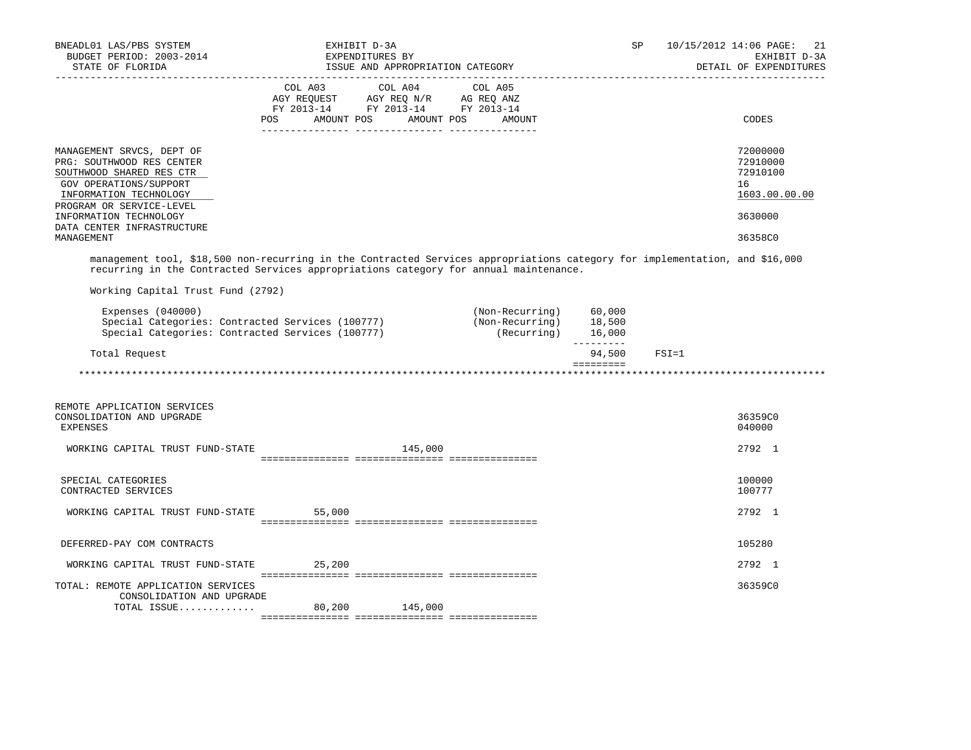| BNEADL01 LAS/PBS SYSTEM<br>BUDGET PERIOD: 2003-2014                                                                                                                                                                 | EXHIBIT D-3A<br>EXPENDITURES BY<br>STATE OF FLORIDA<br>ISSUE AND APPROPRIATION CATEGORY |                                                                                                   |  |                       |  | SP                                                                         |  | 10/15/2012 14:06 PAGE:<br>21<br>EXHIBIT D-3A<br>DETAIL OF EXPENDITURES |           |                                                         |
|---------------------------------------------------------------------------------------------------------------------------------------------------------------------------------------------------------------------|-----------------------------------------------------------------------------------------|---------------------------------------------------------------------------------------------------|--|-----------------------|--|----------------------------------------------------------------------------|--|------------------------------------------------------------------------|-----------|---------------------------------------------------------|
| --------------------                                                                                                                                                                                                |                                                                                         |                                                                                                   |  |                       |  |                                                                            |  |                                                                        |           | ___________________________                             |
|                                                                                                                                                                                                                     |                                                                                         | COL A03 COL A04 COL A05<br>AGY REQUEST AGY REQ N/R AG REQ ANZ<br>FY 2013-14 FY 2013-14 FY 2013-14 |  |                       |  |                                                                            |  |                                                                        |           |                                                         |
|                                                                                                                                                                                                                     | POS                                                                                     |                                                                                                   |  | AMOUNT POS AMOUNT POS |  | AMOUNT                                                                     |  |                                                                        |           | CODES                                                   |
| MANAGEMENT SRVCS, DEPT OF<br>PRG: SOUTHWOOD RES CENTER<br>SOUTHWOOD SHARED RES CTR<br>GOV OPERATIONS/SUPPORT<br>INFORMATION TECHNOLOGY                                                                              |                                                                                         |                                                                                                   |  |                       |  |                                                                            |  |                                                                        |           | 72000000<br>72910000<br>72910100<br>16<br>1603.00.00.00 |
| PROGRAM OR SERVICE-LEVEL<br>INFORMATION TECHNOLOGY<br>DATA CENTER INFRASTRUCTURE                                                                                                                                    |                                                                                         |                                                                                                   |  |                       |  |                                                                            |  |                                                                        |           | 3630000                                                 |
| MANAGEMENT                                                                                                                                                                                                          |                                                                                         |                                                                                                   |  |                       |  |                                                                            |  |                                                                        |           | 36358C0                                                 |
| management tool, \$18,500 non-recurring in the Contracted Services appropriations category for implementation, and \$16,000<br>recurring in the Contracted Services appropriations category for annual maintenance. |                                                                                         |                                                                                                   |  |                       |  |                                                                            |  |                                                                        |           |                                                         |
| Working Capital Trust Fund (2792)                                                                                                                                                                                   |                                                                                         |                                                                                                   |  |                       |  |                                                                            |  |                                                                        |           |                                                         |
| Expenses $(040000)$<br>Special Categories: Contracted Services (100777)<br>Special Categories: Contracted Services (100777)                                                                                         |                                                                                         |                                                                                                   |  |                       |  | $(Non-Recurring)$ 60,000<br>(Non-Recurring) 18,500<br>$(Recurring)$ 16,000 |  |                                                                        |           |                                                         |
| Total Request                                                                                                                                                                                                       |                                                                                         |                                                                                                   |  |                       |  |                                                                            |  | 94,500                                                                 | $FSI = 1$ |                                                         |
|                                                                                                                                                                                                                     |                                                                                         |                                                                                                   |  |                       |  |                                                                            |  |                                                                        |           |                                                         |
| REMOTE APPLICATION SERVICES<br>CONSOLIDATION AND UPGRADE<br><b>EXPENSES</b>                                                                                                                                         |                                                                                         |                                                                                                   |  |                       |  |                                                                            |  |                                                                        |           | 36359C0<br>040000                                       |
| WORKING CAPITAL TRUST FUND-STATE                                                                                                                                                                                    |                                                                                         |                                                                                                   |  | 145,000               |  |                                                                            |  |                                                                        |           | 2792 1                                                  |
|                                                                                                                                                                                                                     |                                                                                         |                                                                                                   |  |                       |  |                                                                            |  |                                                                        |           |                                                         |
| SPECIAL CATEGORIES<br>CONTRACTED SERVICES                                                                                                                                                                           |                                                                                         |                                                                                                   |  |                       |  |                                                                            |  |                                                                        |           | 100000<br>100777                                        |
| WORKING CAPITAL TRUST FUND-STATE 55,000                                                                                                                                                                             |                                                                                         |                                                                                                   |  |                       |  |                                                                            |  |                                                                        |           | 2792 1                                                  |
| DEFERRED-PAY COM CONTRACTS                                                                                                                                                                                          |                                                                                         |                                                                                                   |  |                       |  |                                                                            |  |                                                                        |           | 105280                                                  |
| WORKING CAPITAL TRUST FUND-STATE                                                                                                                                                                                    |                                                                                         | 25,200                                                                                            |  |                       |  |                                                                            |  |                                                                        |           | 2792 1                                                  |
| TOTAL: REMOTE APPLICATION SERVICES<br>CONSOLIDATION AND UPGRADE                                                                                                                                                     |                                                                                         |                                                                                                   |  |                       |  |                                                                            |  |                                                                        |           | 36359C0                                                 |
| TOTAL ISSUE 80,200 145,000                                                                                                                                                                                          |                                                                                         |                                                                                                   |  |                       |  |                                                                            |  |                                                                        |           |                                                         |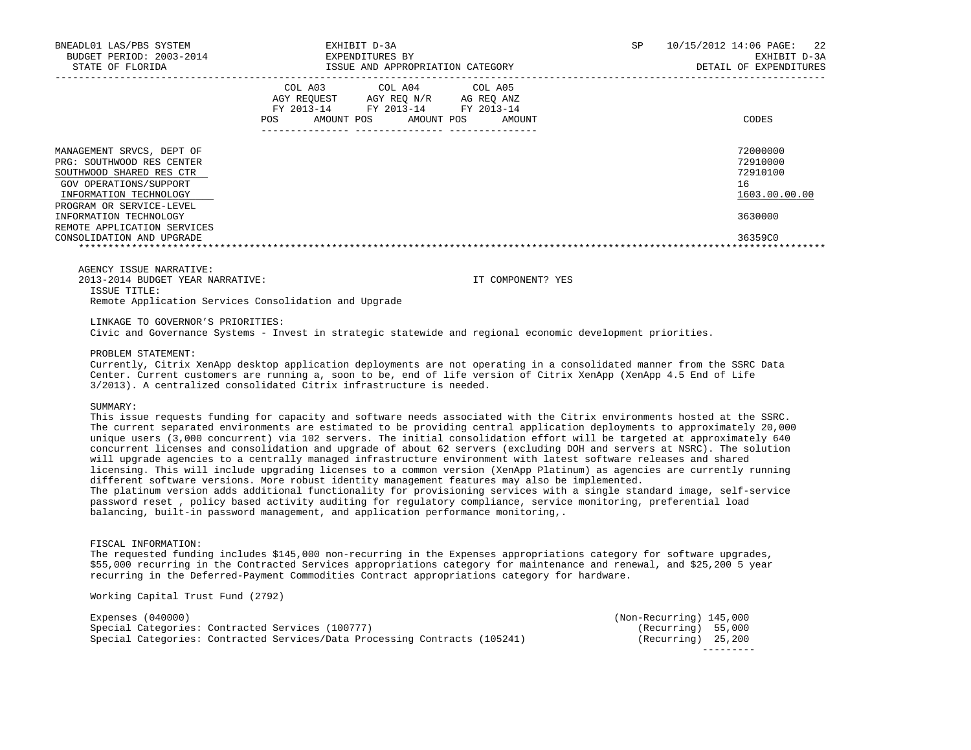| BNEADL01 LAS/PBS SYSTEM<br>BUDGET PERIOD: 2003-2014<br>STATE OF FLORIDA                                                                | EXHIBIT D-3A<br>EXPENDITURES BY<br>ISSUE AND APPROPRIATION CATEGORY                                                                                     | 10/15/2012 14:06 PAGE: 22<br>SP<br>EXHIBIT D-3A<br>DETAIL OF EXPENDITURES |
|----------------------------------------------------------------------------------------------------------------------------------------|---------------------------------------------------------------------------------------------------------------------------------------------------------|---------------------------------------------------------------------------|
|                                                                                                                                        | COL A03<br>COL A04 COL A05<br>AGY REOUEST AGY REO N/R<br>AG REO ANZ<br>FY 2013-14<br>FY 2013-14 FY 2013-14<br>AMOUNT POS<br>AMOUNT POS<br>POS<br>AMOUNT | CODES                                                                     |
| MANAGEMENT SRVCS, DEPT OF<br>PRG: SOUTHWOOD RES CENTER<br>SOUTHWOOD SHARED RES CTR<br>GOV OPERATIONS/SUPPORT<br>INFORMATION TECHNOLOGY |                                                                                                                                                         | 72000000<br>72910000<br>72910100<br>16<br>1603.00.00.00                   |
| PROGRAM OR SERVICE-LEVEL<br>INFORMATION TECHNOLOGY<br>REMOTE APPLICATION SERVICES<br>CONSOLIDATION AND UPGRADE                         |                                                                                                                                                         | 3630000<br>36359C0                                                        |

AGENCY ISSUE NARRATIVE:

2013-2014 BUDGET YEAR NARRATIVE: IT COMPONENT? YES

ISSUE TITLE:

Remote Application Services Consolidation and Upgrade

LINKAGE TO GOVERNOR'S PRIORITIES:

Civic and Governance Systems - Invest in strategic statewide and regional economic development priorities.

PROBLEM STATEMENT:

 Currently, Citrix XenApp desktop application deployments are not operating in a consolidated manner from the SSRC Data Center. Current customers are running a, soon to be, end of life version of Citrix XenApp (XenApp 4.5 End of Life 3/2013). A centralized consolidated Citrix infrastructure is needed.

SUMMARY:

 This issue requests funding for capacity and software needs associated with the Citrix environments hosted at the SSRC. The current separated environments are estimated to be providing central application deployments to approximately 20,000 unique users (3,000 concurrent) via 102 servers. The initial consolidation effort will be targeted at approximately 640 concurrent licenses and consolidation and upgrade of about 62 servers (excluding DOH and servers at NSRC). The solution will upgrade agencies to a centrally managed infrastructure environment with latest software releases and shared licensing. This will include upgrading licenses to a common version (XenApp Platinum) as agencies are currently running different software versions. More robust identity management features may also be implemented.

 The platinum version adds additional functionality for provisioning services with a single standard image, self-service password reset , policy based activity auditing for regulatory compliance, service monitoring, preferential load balancing, built-in password management, and application performance monitoring,.

FISCAL INFORMATION:

 The requested funding includes \$145,000 non-recurring in the Expenses appropriations category for software upgrades, \$55,000 recurring in the Contracted Services appropriations category for maintenance and renewal, and \$25,200 5 year recurring in the Deferred-Payment Commodities Contract appropriations category for hardware.

Working Capital Trust Fund (2792)

| Expenses $(040000)$                                                        | (Non-Recurring) 145,000 |  |
|----------------------------------------------------------------------------|-------------------------|--|
| Special Categories: Contracted Services (100777)                           | (Recurring) 55,000      |  |
| Special Categories: Contracted Services/Data Processing Contracts (105241) | $(Recurring)$ 25,200    |  |
|                                                                            |                         |  |